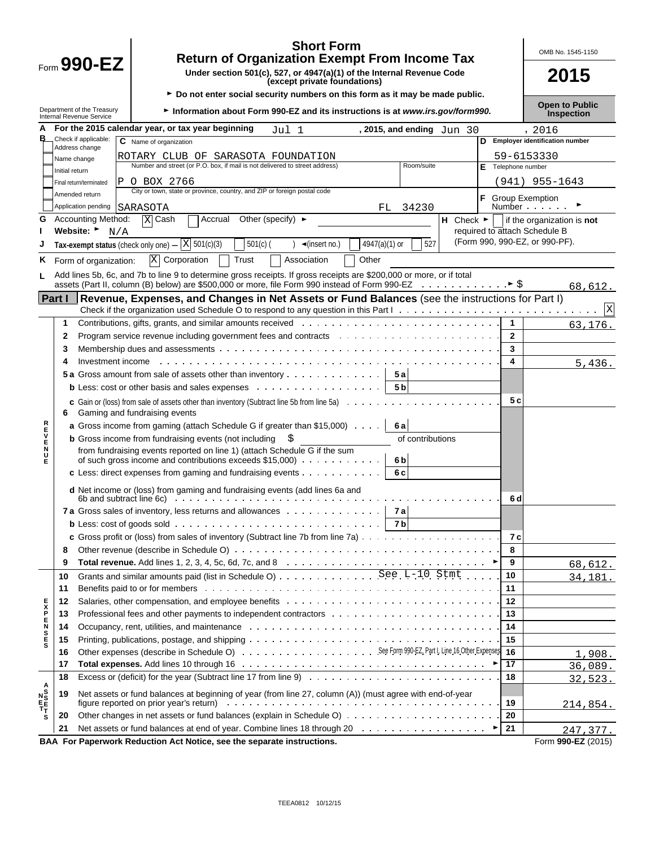|                       |                | Form $990$ -EZ                                         | <b>Short Form</b><br><b>Return of Organization Exempt From Income Tax</b>                                                                                                                                                      |                    | OMB No. 1545-1150                                                 |
|-----------------------|----------------|--------------------------------------------------------|--------------------------------------------------------------------------------------------------------------------------------------------------------------------------------------------------------------------------------|--------------------|-------------------------------------------------------------------|
|                       |                |                                                        | 2015                                                                                                                                                                                                                           |                    |                                                                   |
|                       |                | Department of the Treasury<br>Internal Revenue Service | ► Do not enter social security numbers on this form as it may be made public.<br>Information about Form 990-EZ and its instructions is at www.irs.gov/form990.                                                                 |                    | <b>Open to Public</b><br>Inspection                               |
| А                     |                |                                                        | For the 2015 calendar year, or tax year beginning<br>Jul 1<br>, 2015, and ending Jun 30                                                                                                                                        |                    | , 2016                                                            |
|                       |                | Check if applicable:                                   | C Name of organization                                                                                                                                                                                                         |                    | D Employer identification number                                  |
|                       |                | Address change                                         | ROTARY CLUB OF SARASOTA FOUNDATION                                                                                                                                                                                             |                    | 59-6153330                                                        |
|                       |                | Name change                                            | Number and street (or P.O. box, if mail is not delivered to street address)<br>Room/suite                                                                                                                                      | E Telephone number |                                                                   |
|                       | Initial return | P<br>Final return/terminated                           | O BOX 2766                                                                                                                                                                                                                     |                    | (941) 955-1643                                                    |
|                       |                | Amended return                                         | City or town, state or province, country, and ZIP or foreign postal code                                                                                                                                                       |                    |                                                                   |
|                       |                | Application pending                                    | SARASOTA<br>FL 34230                                                                                                                                                                                                           |                    | <b>F</b> Group Exemption<br>Number                                |
| G                     |                | <b>Accounting Method:</b>                              | $\overline{X}$ Cash<br>Accrual<br>Other (specify) $\blacktriangleright$                                                                                                                                                        |                    | H Check $\blacktriangleright$   if the organization is <b>not</b> |
|                       |                | Website: $\blacktriangleright$<br>N/A                  |                                                                                                                                                                                                                                |                    | required to attach Schedule B                                     |
|                       |                |                                                        | Tax-exempt status (check only one) $-\sqrt{X}$ 501(c)(3)<br>527<br>$501(c)$ (<br>$\triangleleft$ (insert no.)<br>$4947(a)(1)$ or<br>$\lambda$                                                                                  |                    | (Form 990, 990-EZ, or 990-PF).                                    |
| K.                    |                | Form of organization:                                  | X Corporation<br>Trust<br>Association<br>Other                                                                                                                                                                                 |                    |                                                                   |
|                       |                |                                                        | Add lines 5b, 6c, and 7b to line 9 to determine gross receipts. If gross receipts are \$200,000 or more, or if total                                                                                                           |                    |                                                                   |
|                       |                |                                                        |                                                                                                                                                                                                                                |                    | 68,612.                                                           |
|                       | Part I         |                                                        | Revenue, Expenses, and Changes in Net Assets or Fund Balances (see the instructions for Part I)                                                                                                                                |                    |                                                                   |
|                       |                |                                                        |                                                                                                                                                                                                                                |                    |                                                                   |
|                       | 1              |                                                        |                                                                                                                                                                                                                                | 1                  | 63,176.                                                           |
|                       | 2              |                                                        |                                                                                                                                                                                                                                | $\mathbf{2}$       |                                                                   |
|                       | 3              |                                                        |                                                                                                                                                                                                                                | 3                  |                                                                   |
|                       | 4              | Investment income                                      |                                                                                                                                                                                                                                | 4                  | 5,436.                                                            |
|                       |                |                                                        | 5 a Gross amount from sale of assets other than inventory<br>5 a                                                                                                                                                               |                    |                                                                   |
|                       |                |                                                        | 5 <sub>b</sub>                                                                                                                                                                                                                 |                    |                                                                   |
|                       | 6              |                                                        | c Gain or (loss) from sale of assets other than inventory (Subtract line 5b from line 5a)<br>Gaming and fundraising events                                                                                                     |                    | 5 c                                                               |
| ロマロヘロス                |                |                                                        | <b>a</b> Gross income from gaming (attach Schedule G if greater than \$15,000)<br>6 a                                                                                                                                          |                    |                                                                   |
|                       |                |                                                        | <b>b</b> Gross income from fundraising events (not including<br>of contributions<br>S                                                                                                                                          |                    |                                                                   |
|                       |                |                                                        | from fundraising events reported on line 1) (attach Schedule G if the sum<br>of such gross income and contributions exceeds $$15,000$ )<br>6 <sub>b</sub>                                                                      |                    |                                                                   |
|                       |                |                                                        | c Less: direct expenses from gaming and fundraising events<br>6 c                                                                                                                                                              |                    |                                                                   |
|                       |                |                                                        | d Net income or (loss) from gaming and fundraising events (add lines 6a and<br>6b and subtract line 6c) $\cdots$ $\cdots$ $\cdots$ $\cdots$ $\cdots$ $\cdots$ $\cdots$ $\cdots$ $\cdots$ $\cdots$                              |                    | 6 d                                                               |
|                       |                |                                                        | 7a Gross sales of inventory, less returns and allowances   7a                                                                                                                                                                  |                    |                                                                   |
|                       |                |                                                        | 7 b                                                                                                                                                                                                                            |                    |                                                                   |
|                       |                |                                                        |                                                                                                                                                                                                                                |                    | 7 с                                                               |
|                       | 8              |                                                        |                                                                                                                                                                                                                                | 8                  |                                                                   |
|                       | 9              |                                                        | Total revenue. Add lines 1, 2, 3, 4, 5c, 6d, 7c, and 8 $\ldots \ldots \ldots \ldots \ldots \ldots \ldots \ldots \ldots \ldots$                                                                                                 | 9                  | 68,612.                                                           |
|                       | 10             |                                                        | Grants and similar amounts paid (list in Schedule O) See . L-10. Stmt.                                                                                                                                                         | 10                 | 34,181.                                                           |
|                       | 11             |                                                        | Benefits paid to or for members enterprise on the context of the context of the context of the context of the context of the context of the context of the context of the context of the context of the context of the context | 11                 |                                                                   |
|                       | 12             |                                                        | Salaries, other compensation, and employee benefits (and all contact and all contact and all contact and all contact and all contact and all contact and all contact and all contact and all contact and all contact and all c | 12                 |                                                                   |
| <b>SERS2EXE</b>       | 13             |                                                        |                                                                                                                                                                                                                                | 13                 |                                                                   |
|                       | 14             |                                                        |                                                                                                                                                                                                                                | 14                 |                                                                   |
|                       | 15             |                                                        |                                                                                                                                                                                                                                | 15<br>16           |                                                                   |
|                       | 16<br>17       |                                                        |                                                                                                                                                                                                                                | 17                 | 1,908.                                                            |
|                       | 18             |                                                        |                                                                                                                                                                                                                                | 18                 | <u>36,089.</u>                                                    |
|                       |                |                                                        |                                                                                                                                                                                                                                |                    | 32,523.                                                           |
| A<br>S<br>T<br>T<br>S | 19             |                                                        | Net assets or fund balances at beginning of year (from line 27, column (A)) (must agree with end-of-year                                                                                                                       | 19                 | <u>214,854.</u>                                                   |
|                       | 20             |                                                        |                                                                                                                                                                                                                                | 20                 |                                                                   |
|                       | 21             |                                                        |                                                                                                                                                                                                                                | 21                 | 247, 377.                                                         |
|                       |                |                                                        | BAA For Paperwork Reduction Act Notice, see the separate instructions.                                                                                                                                                         |                    | Form 990-EZ (2015)                                                |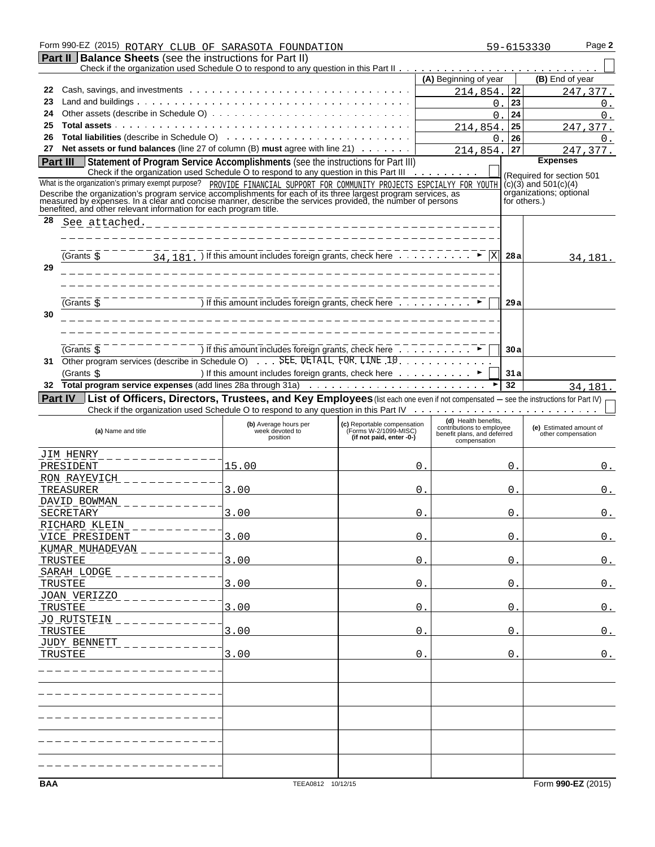|                 | Form 990-EZ (2015) ROTARY CLUB OF SARASOTA FOUNDATION                                                                                                                                                                                                                                                                                                           |                                                                                                                        |                                                                                  |                                                                                  |               | Page 2<br>59-6153330                                                 |
|-----------------|-----------------------------------------------------------------------------------------------------------------------------------------------------------------------------------------------------------------------------------------------------------------------------------------------------------------------------------------------------------------|------------------------------------------------------------------------------------------------------------------------|----------------------------------------------------------------------------------|----------------------------------------------------------------------------------|---------------|----------------------------------------------------------------------|
|                 | <b>Part II Balance Sheets</b> (see the instructions for Part II)                                                                                                                                                                                                                                                                                                |                                                                                                                        |                                                                                  |                                                                                  |               |                                                                      |
|                 |                                                                                                                                                                                                                                                                                                                                                                 |                                                                                                                        |                                                                                  | (A) Beginning of year                                                            |               | (B) End of year                                                      |
| 22              |                                                                                                                                                                                                                                                                                                                                                                 |                                                                                                                        |                                                                                  | 214,854.                                                                         | 22            | 247,377.                                                             |
| 23              |                                                                                                                                                                                                                                                                                                                                                                 |                                                                                                                        |                                                                                  | 0                                                                                | 23            | $\Omega$ .                                                           |
| 24              |                                                                                                                                                                                                                                                                                                                                                                 |                                                                                                                        |                                                                                  | 0                                                                                | 24            | $\Omega$ .                                                           |
| 25              |                                                                                                                                                                                                                                                                                                                                                                 |                                                                                                                        |                                                                                  | 214,854                                                                          | 25            | 247,377.                                                             |
| 26              |                                                                                                                                                                                                                                                                                                                                                                 |                                                                                                                        |                                                                                  | 0                                                                                | 26            | 0                                                                    |
| 27              | Net assets or fund balances (line 27 of column $(B)$ must agree with line 21) $\ldots \ldots$                                                                                                                                                                                                                                                                   |                                                                                                                        |                                                                                  | 214,854                                                                          | 27            | 247,377.                                                             |
| <b>Part III</b> | Statement of Program Service Accomplishments (see the instructions for Part III)                                                                                                                                                                                                                                                                                |                                                                                                                        |                                                                                  |                                                                                  |               | <b>Expenses</b>                                                      |
|                 | Check if the organization used Schedule O to respond to any question in this Part III                                                                                                                                                                                                                                                                           |                                                                                                                        |                                                                                  |                                                                                  |               | (Required for section 501                                            |
|                 | What is the organization's primary exempt purpose? PROVIDE FINANCIAL SUPPORT FOR COMMUNITY PROJECTS ESPCIALYY FOR YOUTH<br>Describe the organization's program service accomplishments for each of its three largest program services, as<br>measured by expenses. In a clear and concise manner, describe the services provided, the number of persons<br>bene |                                                                                                                        |                                                                                  |                                                                                  |               | $(c)(3)$ and 501 $(c)(4)$<br>organizations; optional<br>for others.) |
| 28              | <u>See attached.</u>                                                                                                                                                                                                                                                                                                                                            |                                                                                                                        |                                                                                  |                                                                                  |               |                                                                      |
| 29              | (Grants <b>☆</b>                                                                                                                                                                                                                                                                                                                                                | $\overline{34}$ , $\overline{181}$ . $\overline{)}$ If this amount includes foreign grants, check here $\overline{11}$ |                                                                                  |                                                                                  | 28 a          | 34,181.                                                              |
|                 |                                                                                                                                                                                                                                                                                                                                                                 |                                                                                                                        |                                                                                  |                                                                                  |               |                                                                      |
| 30              | (Grants \$                                                                                                                                                                                                                                                                                                                                                      | If this amount includes foreign grants, check here $\ldots$ ,                                                          |                                                                                  |                                                                                  | 29a           |                                                                      |
|                 |                                                                                                                                                                                                                                                                                                                                                                 |                                                                                                                        |                                                                                  |                                                                                  |               |                                                                      |
|                 | (Grants ち<br>Other program services (describe in Schedule O) SEE. DETAIL FOR. LINE .10.                                                                                                                                                                                                                                                                         | ) If this amount includes foreign grants, check here                                                                   |                                                                                  |                                                                                  | 30a           |                                                                      |
| 31              | (Grants \$                                                                                                                                                                                                                                                                                                                                                      | ) If this amount includes foreign grants, check here                                                                   |                                                                                  |                                                                                  | 31 a          |                                                                      |
| 32              | Total program service expenses (add lines 28a through 31a) with the context of the context of the context of the context of the context of the context of the context of the context of the context of the context of the cont                                                                                                                                  |                                                                                                                        |                                                                                  |                                                                                  | 32            | 34,181                                                               |
| <b>Part IV</b>  | List of Officers, Directors, Trustees, and Key Employees (list each one even if not compensated - see the instructions for Part IV)                                                                                                                                                                                                                             |                                                                                                                        |                                                                                  |                                                                                  |               |                                                                      |
|                 | Check if the organization used Schedule O to respond to any question in this Part IV $\cdots$ , $\cdots$ , $\cdots$ , $\cdots$ , $\cdots$                                                                                                                                                                                                                       |                                                                                                                        |                                                                                  |                                                                                  |               |                                                                      |
|                 | (a) Name and title                                                                                                                                                                                                                                                                                                                                              | (b) Average hours per<br>week devoted to<br>position                                                                   | (c) Reportable compensation<br>(Forms W-2/1099-MISC)<br>(if not paid, enter -0-) | (d) Health benefits,<br>contributions to employee<br>benefit plans, and deferred |               | (e) Estimated amount of<br>other compensation                        |
|                 | JIM HENRY<br>--------                                                                                                                                                                                                                                                                                                                                           |                                                                                                                        |                                                                                  | compensation                                                                     |               |                                                                      |
|                 | PRESIDENT                                                                                                                                                                                                                                                                                                                                                       | 15.00                                                                                                                  | 0                                                                                |                                                                                  | 0             | 0.                                                                   |
|                 | RON RAYEVICH                                                                                                                                                                                                                                                                                                                                                    |                                                                                                                        |                                                                                  |                                                                                  |               |                                                                      |
|                 | TREASURER                                                                                                                                                                                                                                                                                                                                                       | 3.00                                                                                                                   | 0                                                                                |                                                                                  | 0             |                                                                      |
|                 | DAVID BOWMAN                                                                                                                                                                                                                                                                                                                                                    |                                                                                                                        |                                                                                  |                                                                                  |               |                                                                      |
|                 | SECRETARY                                                                                                                                                                                                                                                                                                                                                       | 3.00                                                                                                                   | 0                                                                                |                                                                                  | 0.            | 0.                                                                   |
|                 | <u>RICHARD KLEIN</u>                                                                                                                                                                                                                                                                                                                                            |                                                                                                                        |                                                                                  |                                                                                  |               |                                                                      |
|                 | VICE PRESIDENT                                                                                                                                                                                                                                                                                                                                                  | 3.00                                                                                                                   | 0                                                                                |                                                                                  | $\Omega$      | 0.                                                                   |
|                 | <u>KUMAR MUHADEVAN</u>                                                                                                                                                                                                                                                                                                                                          |                                                                                                                        |                                                                                  |                                                                                  |               |                                                                      |
|                 | TRUSTEE                                                                                                                                                                                                                                                                                                                                                         | 3.00                                                                                                                   | 0.                                                                               |                                                                                  | $\mathbf 0$ . |                                                                      |
|                 | SARAH LODGE<br>TRUSTEE                                                                                                                                                                                                                                                                                                                                          | 3.00                                                                                                                   | 0.                                                                               |                                                                                  | $\mathbf 0$   |                                                                      |
|                 | JOAN VERIZZO                                                                                                                                                                                                                                                                                                                                                    |                                                                                                                        |                                                                                  |                                                                                  |               |                                                                      |
|                 | TRUSTEE                                                                                                                                                                                                                                                                                                                                                         | 3.00                                                                                                                   | 0                                                                                |                                                                                  | $\Omega$      | 0.                                                                   |
|                 | <u>JO RUTSTEIN</u>                                                                                                                                                                                                                                                                                                                                              |                                                                                                                        |                                                                                  |                                                                                  |               |                                                                      |
|                 | TRUSTEE                                                                                                                                                                                                                                                                                                                                                         | 3.00                                                                                                                   | 0.                                                                               |                                                                                  | 0.            |                                                                      |
|                 | <u>JUDY BENNETT</u>                                                                                                                                                                                                                                                                                                                                             |                                                                                                                        |                                                                                  |                                                                                  |               |                                                                      |
|                 | TRUSTEE                                                                                                                                                                                                                                                                                                                                                         | 3.00                                                                                                                   | 0.                                                                               |                                                                                  | 0.            |                                                                      |
|                 |                                                                                                                                                                                                                                                                                                                                                                 |                                                                                                                        |                                                                                  |                                                                                  |               |                                                                      |
|                 |                                                                                                                                                                                                                                                                                                                                                                 |                                                                                                                        |                                                                                  |                                                                                  |               | 0.<br>$0$ .<br>0.<br>$0$ .<br>0.                                     |
|                 |                                                                                                                                                                                                                                                                                                                                                                 |                                                                                                                        |                                                                                  |                                                                                  |               |                                                                      |
|                 |                                                                                                                                                                                                                                                                                                                                                                 |                                                                                                                        |                                                                                  |                                                                                  |               |                                                                      |
|                 |                                                                                                                                                                                                                                                                                                                                                                 |                                                                                                                        |                                                                                  |                                                                                  |               |                                                                      |
|                 |                                                                                                                                                                                                                                                                                                                                                                 |                                                                                                                        |                                                                                  |                                                                                  |               |                                                                      |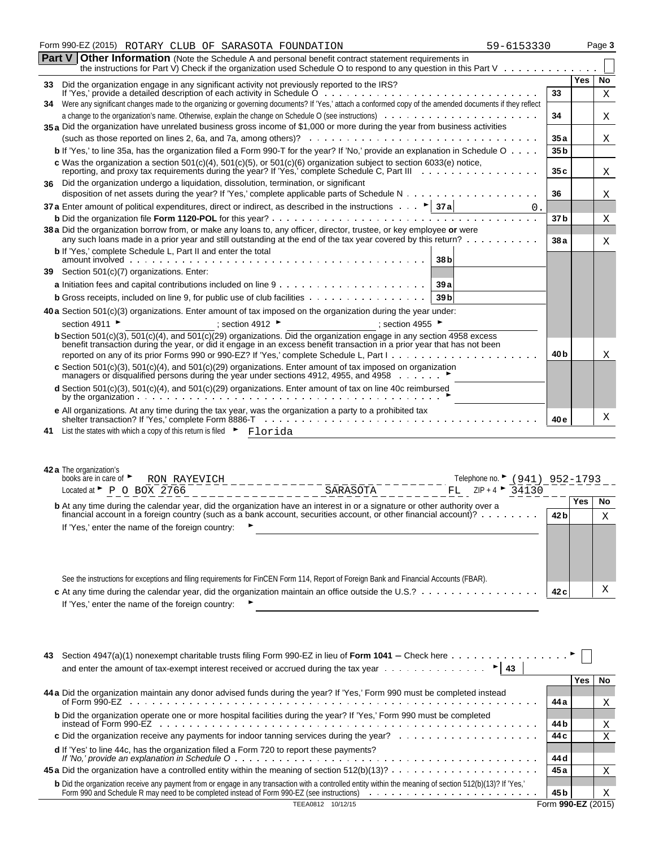|    | Form 990-EZ (2015) ROTARY CLUB OF SARASOTA FOUNDATION<br>59-6153330                                                                                                                                                                                                                                                                                                                           |                 |            | Page 3  |
|----|-----------------------------------------------------------------------------------------------------------------------------------------------------------------------------------------------------------------------------------------------------------------------------------------------------------------------------------------------------------------------------------------------|-----------------|------------|---------|
|    | <b>Part V Other Information</b> (Note the Schedule A and personal benefit contract statement requirements in                                                                                                                                                                                                                                                                                  |                 |            |         |
|    | the instructions for Part V) Check if the organization used Schedule O to respond to any question in this Part V $\dots$                                                                                                                                                                                                                                                                      |                 |            |         |
| 33 | Did the organization engage in any significant activity not previously reported to the IRS?                                                                                                                                                                                                                                                                                                   | 33              | Yes        | No<br>Χ |
| 34 | Were any significant changes made to the organizing or governing documents? If 'Yes,' attach a conformed copy of the amended documents if they reflect                                                                                                                                                                                                                                        |                 |            |         |
|    |                                                                                                                                                                                                                                                                                                                                                                                               | 34              |            | X       |
|    | 35 a Did the organization have unrelated business gross income of \$1,000 or more during the year from business activities                                                                                                                                                                                                                                                                    |                 |            |         |
|    | (such as those reported on lines 2, 6a, and 7a, among others)? $\ldots \ldots \ldots \ldots \ldots \ldots \ldots \ldots \ldots \ldots \ldots \ldots$                                                                                                                                                                                                                                          | 35 a            |            | Χ       |
|    | <b>b</b> If 'Yes,' to line 35a, has the organization filed a Form 990-T for the year? If 'No,' provide an explanation in Schedule O $\ldots$                                                                                                                                                                                                                                                  | 35 <sub>b</sub> |            |         |
|    | c Was the organization a section 501(c)(4), 501(c)(5), or 501(c)(6) organization subject to section 6033(e) notice,                                                                                                                                                                                                                                                                           | 35 c            |            | Χ       |
| 36 | Did the organization undergo a liquidation, dissolution, termination, or significant                                                                                                                                                                                                                                                                                                          |                 |            |         |
|    |                                                                                                                                                                                                                                                                                                                                                                                               | 36              |            | Χ       |
|    | 37 a Enter amount of political expenditures, direct or indirect, as described in the instructions $\cdots$   37 a                                                                                                                                                                                                                                                                             |                 |            |         |
|    |                                                                                                                                                                                                                                                                                                                                                                                               | 37 <sub>b</sub> |            | Χ       |
|    | 38 a Did the organization borrow from, or make any loans to, any officer, director, trustee, or key employee or were<br>any such loans made in a prior year and still outstanding at the end of the tax year covered by this return?                                                                                                                                                          | 38a             |            | X       |
|    | <b>b</b> If 'Yes,' complete Schedule L, Part II and enter the total                                                                                                                                                                                                                                                                                                                           |                 |            |         |
|    | 38 <sub>b</sub><br>39 Section 501(c)(7) organizations. Enter:                                                                                                                                                                                                                                                                                                                                 |                 |            |         |
|    | 39a                                                                                                                                                                                                                                                                                                                                                                                           |                 |            |         |
|    | <b>b</b> Gross receipts, included on line 9, for public use of club facilities<br>39 <sub>b</sub>                                                                                                                                                                                                                                                                                             |                 |            |         |
|    |                                                                                                                                                                                                                                                                                                                                                                                               |                 |            |         |
|    | 40 a Section 501(c)(3) organizations. Enter amount of tax imposed on the organization during the year under:                                                                                                                                                                                                                                                                                  |                 |            |         |
|    | ; section 4912<br>section 4911<br>; section 4955 $\blacktriangleright$                                                                                                                                                                                                                                                                                                                        |                 |            |         |
|    | <b>b</b> Section 501(c)(3), $\frac{501(c)(4)}{20}$ , and $\frac{501(c)(29)}{20}$ organizations. Did the organization engage in any section $\frac{4958}{4958}$ excess<br>benefit transaction during the year, or did it engage in an excess benefit transaction in a prior year that has not been<br>reported on any of its prior Forms 990 or 990-EZ? If 'Yes,' complete Schedule L, Part I. | 40 b            |            | Χ       |
|    | c Section 501(c)(3), 501(c)(4), and 501(c)(29) organizations. Enter amount of tax imposed on organization                                                                                                                                                                                                                                                                                     |                 |            |         |
|    | managers or disqualified persons during the year under sections 4912, 4955, and 4958                                                                                                                                                                                                                                                                                                          |                 |            |         |
|    | d Section 501(c)(3), 501(c)(4), and 501(c)(29) organizations. Enter amount of tax on line 40c reimbursed                                                                                                                                                                                                                                                                                      |                 |            |         |
|    |                                                                                                                                                                                                                                                                                                                                                                                               |                 |            |         |
|    | e All organizations. At any time during the tax year, was the organization a party to a prohibited tax                                                                                                                                                                                                                                                                                        | 40 e            |            | Χ       |
| 41 | List the states with which a copy of this return is filed $\blacktriangleright$ $\blacktriangleright$ $\blacktriangleright$ $\blacktriangleright$ $\blacktriangleright$ $\blacktriangleright$ $\blacktriangleright$ $\blacktriangleright$ $\blacktriangleright$ $\blacktriangleright$ $\blacktriangleright$ $\blacktriangleright$ $\blacktriangleright$ $\blacktriangleleft$ $\triangleleft$  |                 |            |         |
|    |                                                                                                                                                                                                                                                                                                                                                                                               |                 |            |         |
|    |                                                                                                                                                                                                                                                                                                                                                                                               |                 |            |         |
|    |                                                                                                                                                                                                                                                                                                                                                                                               |                 |            |         |
|    | 42 a The organization's<br>books are in care of                                                                                                                                                                                                                                                                                                                                               |                 |            |         |
|    | Telephone no. ▶ (941) 952-1793<br>RON RAYEVICH                                                                                                                                                                                                                                                                                                                                                |                 |            |         |
|    | $FL$ ZIP + 4<br>Located at $\blacktriangleright$ P O BOX 2766<br>SARASOTA<br>34130                                                                                                                                                                                                                                                                                                            |                 |            |         |
|    | <b>b</b> At any time during the calendar year, did the organization have an interest in or a signature or other authority over a<br>financial account in a foreign country (such as a bank account, securities account, or other financial account)?                                                                                                                                          | 42 <sub>b</sub> | <b>Yes</b> | No      |
|    | If 'Yes,' enter the name of the foreign country:                                                                                                                                                                                                                                                                                                                                              |                 |            | X       |
|    |                                                                                                                                                                                                                                                                                                                                                                                               |                 |            |         |
|    |                                                                                                                                                                                                                                                                                                                                                                                               |                 |            |         |
|    |                                                                                                                                                                                                                                                                                                                                                                                               |                 |            |         |
|    |                                                                                                                                                                                                                                                                                                                                                                                               |                 |            |         |

| See the instructions for exceptions and filing requirements for FinCEN Form 114, Report of Foreign Bank and Financial Accounts (FBAR).         |     |   |
|------------------------------------------------------------------------------------------------------------------------------------------------|-----|---|
| <b>c</b> At any time during the calendar year, did the organization maintain an office outside the U.S.? $\dots$ , $\dots$ , $\dots$ , $\dots$ | 42c | X |
| If 'Yes,' enter the name of the foreign country: $\blacktriangleright$                                                                         |     |   |

X

| 43 | Section 4947(a)(1) nonexempt charitable trusts filing Form 990-EZ in lieu of Form 1041 – Check here $\cdots \cdots \cdots \cdots$                                                                                                      |                    |      |    |
|----|----------------------------------------------------------------------------------------------------------------------------------------------------------------------------------------------------------------------------------------|--------------------|------|----|
|    | and enter the amount of tax-exempt interest received or accrued during the tax year $\dots \dots \dots \dots$                                                                                                                          |                    |      |    |
|    |                                                                                                                                                                                                                                        |                    | Yes. | No |
|    | 44 a Did the organization maintain any donor advised funds during the year? If 'Yes,' Form 990 must be completed instead                                                                                                               |                    |      |    |
|    |                                                                                                                                                                                                                                        | 44 a               |      |    |
|    | <b>b</b> Did the organization operate one or more hospital facilities during the year? If 'Yes,' Form 990 must be completed                                                                                                            |                    |      |    |
|    |                                                                                                                                                                                                                                        | 44 b               |      |    |
|    | <b>c</b> Did the organization receive any payments for indoor tanning services during the year? $\ldots$ , $\ldots$ , $\ldots$ , $\ldots$ , $\ldots$                                                                                   | 44 c               |      |    |
|    | d If 'Yes' to line 44c, has the organization filed a Form 720 to report these payments?                                                                                                                                                |                    |      |    |
|    |                                                                                                                                                                                                                                        | 44 d               |      |    |
|    |                                                                                                                                                                                                                                        | 45 a               |      |    |
|    |                                                                                                                                                                                                                                        |                    |      |    |
|    | <b>b</b> Did the organization receive any payment from or engage in any transaction with a controlled entity within the meaning of section 512(b)(13)? If 'Yes,'<br>Form 990 and Schedule R may need to be completed instead of Form 9 | 45 b               |      |    |
|    | <b>TEEA0812</b><br>10/12/15                                                                                                                                                                                                            | Form 990-EZ (2015) |      |    |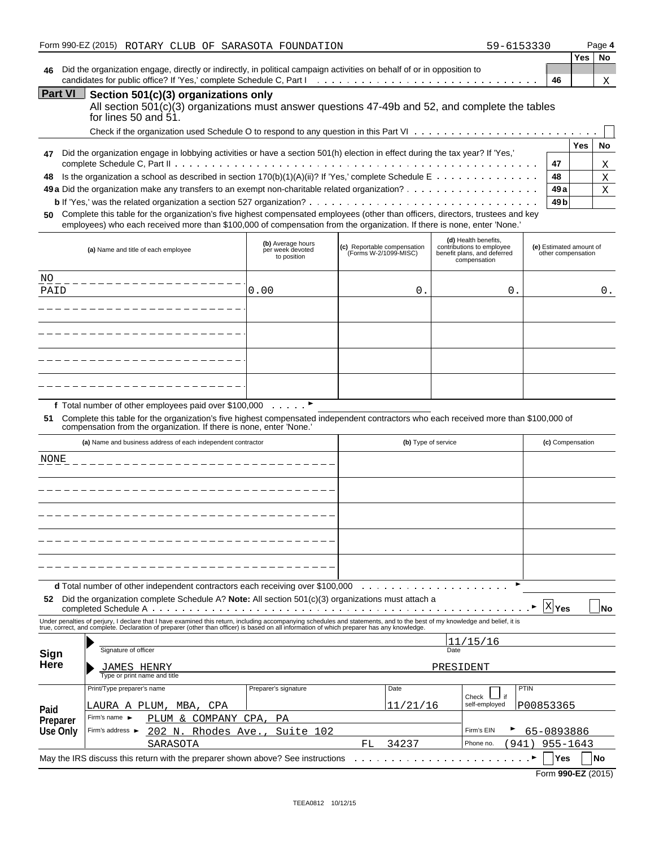|                                                                                                                                       | Form 990-EZ (2015) ROTARY CLUB OF SARASOTA FOUNDATION |                                                      | 59-6153330                                               |                         |                    | Page 4    |
|---------------------------------------------------------------------------------------------------------------------------------------|-------------------------------------------------------|------------------------------------------------------|----------------------------------------------------------|-------------------------|--------------------|-----------|
|                                                                                                                                       |                                                       |                                                      |                                                          |                         | <b>Yes</b>         | <b>No</b> |
| Did the organization engage, directly or indirectly, in political campaign activities on behalf of or in opposition to<br>46          |                                                       |                                                      |                                                          | 46                      |                    |           |
|                                                                                                                                       |                                                       |                                                      |                                                          |                         |                    | X         |
| <b>Part VI</b><br>Section 501(c)(3) organizations only                                                                                |                                                       |                                                      |                                                          |                         |                    |           |
| All section 501(c)(3) organizations must answer questions 47-49b and 52, and complete the tables<br>for lines 50 and $51$ .           |                                                       |                                                      |                                                          |                         |                    |           |
|                                                                                                                                       |                                                       |                                                      |                                                          |                         |                    |           |
|                                                                                                                                       |                                                       |                                                      |                                                          |                         |                    |           |
| Did the organization engage in lobbying activities or have a section 501(h) election in effect during the tax year? If 'Yes,'<br>47   |                                                       |                                                      |                                                          |                         | Yes                | No        |
|                                                                                                                                       |                                                       |                                                      |                                                          | 47                      |                    | Χ         |
| 48                                                                                                                                    |                                                       |                                                      |                                                          | 48                      |                    | Χ         |
|                                                                                                                                       |                                                       |                                                      |                                                          | 49 a                    |                    | X         |
|                                                                                                                                       |                                                       |                                                      |                                                          | 49 <sub>b</sub>         |                    |           |
| Complete this table for the organization's five highest compensated employees (other than officers, directors, trustees and key<br>50 |                                                       |                                                      |                                                          |                         |                    |           |
| employees) who each received more than \$100,000 of compensation from the organization. If there is none, enter 'None.'               |                                                       |                                                      |                                                          |                         |                    |           |
|                                                                                                                                       | (b) Average hours                                     |                                                      | (d) Health benefits,                                     |                         |                    |           |
| (a) Name and title of each employee                                                                                                   | per week devoted<br>to position                       | (c) Reportable compensation<br>(Forms W-2/1099-MISC) | contributions to employee<br>benefit plans, and deferred | (e) Estimated amount of | other compensation |           |
|                                                                                                                                       |                                                       |                                                      | compensation                                             |                         |                    |           |
| NO                                                                                                                                    |                                                       |                                                      |                                                          |                         |                    |           |
| PAID                                                                                                                                  | 0.00                                                  | 0.                                                   | 0.                                                       |                         |                    | 0.        |
|                                                                                                                                       |                                                       |                                                      |                                                          |                         |                    |           |
|                                                                                                                                       |                                                       |                                                      |                                                          |                         |                    |           |
|                                                                                                                                       |                                                       |                                                      |                                                          |                         |                    |           |
|                                                                                                                                       |                                                       |                                                      |                                                          |                         |                    |           |
|                                                                                                                                       |                                                       |                                                      |                                                          |                         |                    |           |
|                                                                                                                                       |                                                       |                                                      |                                                          |                         |                    |           |
|                                                                                                                                       |                                                       |                                                      |                                                          |                         |                    |           |
|                                                                                                                                       |                                                       |                                                      |                                                          |                         |                    |           |

**51** Complete this table for the organization's five highest compensated independent contractors who each received more than \$100,000 of compensation from the organization. If there is none, enter 'None.'

| (a) Name and business address of each independent contractor |                                                                                                                                                                                                                                                                                                                          |                      |    | (b) Type of service |                        |                  | (c) Compensation |
|--------------------------------------------------------------|--------------------------------------------------------------------------------------------------------------------------------------------------------------------------------------------------------------------------------------------------------------------------------------------------------------------------|----------------------|----|---------------------|------------------------|------------------|------------------|
| <b>NONE</b>                                                  |                                                                                                                                                                                                                                                                                                                          |                      |    |                     |                        |                  |                  |
|                                                              |                                                                                                                                                                                                                                                                                                                          |                      |    |                     |                        |                  |                  |
|                                                              |                                                                                                                                                                                                                                                                                                                          |                      |    |                     |                        |                  |                  |
|                                                              |                                                                                                                                                                                                                                                                                                                          |                      |    |                     |                        |                  |                  |
|                                                              |                                                                                                                                                                                                                                                                                                                          |                      |    |                     |                        |                  |                  |
|                                                              |                                                                                                                                                                                                                                                                                                                          |                      |    |                     |                        |                  |                  |
|                                                              |                                                                                                                                                                                                                                                                                                                          |                      |    |                     |                        |                  |                  |
|                                                              | d Total number of other independent contractors each receiving over \$100,000                                                                                                                                                                                                                                            |                      |    |                     |                        |                  |                  |
| 52                                                           | Did the organization complete Schedule A? Note: All section 501(c)(3) organizations must attach a                                                                                                                                                                                                                        |                      |    |                     |                        | X <sub>Yes</sub> | <b>No</b>        |
|                                                              | Under penalties of perjury, I declare that I have examined this return, including accompanying schedules and statements, and to the best of my knowledge and belief, it is<br>true, correct, and complete. Declaration of preparer (other than officer) is based on all information of which preparer has any knowledge. |                      |    |                     |                        |                  |                  |
|                                                              |                                                                                                                                                                                                                                                                                                                          |                      |    |                     | 11/15/16               |                  |                  |
| Sign                                                         | Signature of officer                                                                                                                                                                                                                                                                                                     |                      |    |                     |                        |                  |                  |
| Here                                                         | <b>JAMES HENRY</b><br>PRESIDENT                                                                                                                                                                                                                                                                                          |                      |    |                     |                        |                  |                  |
|                                                              | Type or print name and title                                                                                                                                                                                                                                                                                             |                      |    |                     |                        |                  |                  |
|                                                              | Print/Type preparer's name                                                                                                                                                                                                                                                                                               | Preparer's signature |    | Date                |                        | PTIN             |                  |
| Paid                                                         | MBA, CPA<br>LAURA A PLUM,                                                                                                                                                                                                                                                                                                |                      |    | 11/21/16            | Check<br>self-employed | P00853365        |                  |
| Preparer                                                     | Firm's name $\blacktriangleright$<br>PLUM & COMPANY                                                                                                                                                                                                                                                                      | CPA.<br>РA           |    |                     |                        |                  |                  |
| Use Only                                                     | Firm's address ▶<br>202 N. Rhodes Ave.,                                                                                                                                                                                                                                                                                  | Suite 102            |    |                     | Firm's EIN             | 65-0893886       |                  |
|                                                              | SARASOTA                                                                                                                                                                                                                                                                                                                 |                      | FL | 34237               | Phone no.              | 955-1643<br>941) |                  |
|                                                              | May the IRS discuss this return with the preparer shown above? See instructions                                                                                                                                                                                                                                          |                      |    |                     |                        | Yes              | No               |

Form **990-EZ** (2015)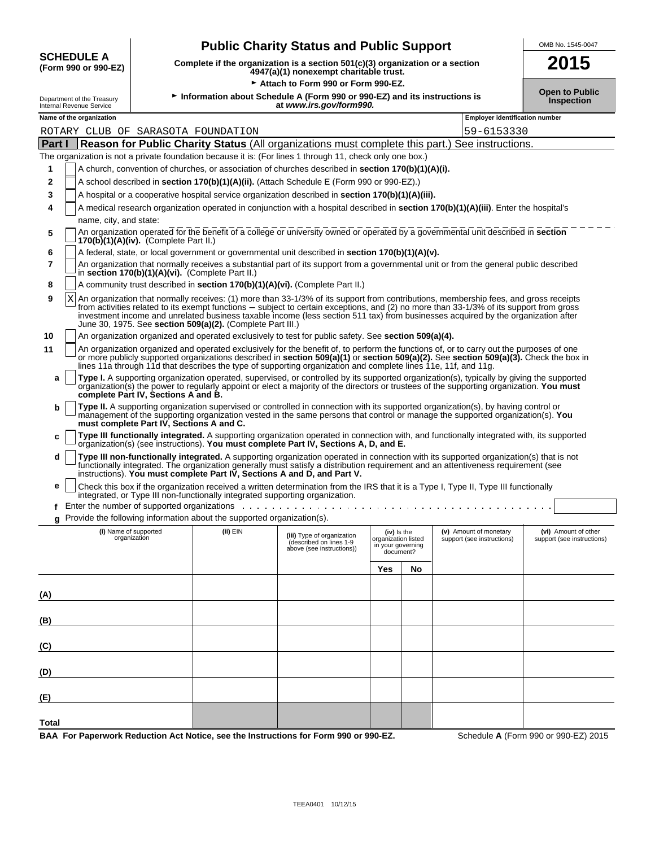| SCHEDULE A           |
|----------------------|
| (Form 990 or 990-F7) |

# **Public Charity Status and Public Support** <u> **OMB No. 1545-0047**</u>

**(Form 990 or 990-EZ) Complete if the organization is a section 501(c)(3) organization or a section 4947(a)(1) nonexempt charitable trust. 2015**

Attach to Form 990 or Form 990-EZ.

**Open to Public** 

| Department of the Treasury<br>Internal Revenue Service |                                                                                                        | Information about Schedule A (Form 990 or 990-EZ) and its instructions is<br>at www.irs.gov/form990. |                                                                                                                                                                                                                                                                                                                                                                                                                      |                                                                      |    | <b>Open to Public</b><br><b>Inspection</b>           |                                                    |
|--------------------------------------------------------|--------------------------------------------------------------------------------------------------------|------------------------------------------------------------------------------------------------------|----------------------------------------------------------------------------------------------------------------------------------------------------------------------------------------------------------------------------------------------------------------------------------------------------------------------------------------------------------------------------------------------------------------------|----------------------------------------------------------------------|----|------------------------------------------------------|----------------------------------------------------|
| Name of the organization                               |                                                                                                        |                                                                                                      |                                                                                                                                                                                                                                                                                                                                                                                                                      |                                                                      |    | <b>Employer identification number</b>                |                                                    |
| 59-6153330<br>ROTARY CLUB OF SARASOTA FOUNDATION       |                                                                                                        |                                                                                                      |                                                                                                                                                                                                                                                                                                                                                                                                                      |                                                                      |    |                                                      |                                                    |
| Part I                                                 | <b>Reason for Public Charity Status (All organizations must complete this part.) See instructions.</b> |                                                                                                      |                                                                                                                                                                                                                                                                                                                                                                                                                      |                                                                      |    |                                                      |                                                    |
|                                                        |                                                                                                        |                                                                                                      | The organization is not a private foundation because it is: (For lines 1 through 11, check only one box.)                                                                                                                                                                                                                                                                                                            |                                                                      |    |                                                      |                                                    |
| 1                                                      |                                                                                                        |                                                                                                      | A church, convention of churches, or association of churches described in section 170(b)(1)(A)(i).                                                                                                                                                                                                                                                                                                                   |                                                                      |    |                                                      |                                                    |
| $\mathbf 2$                                            |                                                                                                        |                                                                                                      | A school described in section 170(b)(1)(A)(ii). (Attach Schedule E (Form 990 or 990-EZ).)                                                                                                                                                                                                                                                                                                                            |                                                                      |    |                                                      |                                                    |
| 3                                                      |                                                                                                        |                                                                                                      | A hospital or a cooperative hospital service organization described in section 170(b)(1)(A)(iii).                                                                                                                                                                                                                                                                                                                    |                                                                      |    |                                                      |                                                    |
| 4                                                      |                                                                                                        |                                                                                                      | A medical research organization operated in conjunction with a hospital described in section 170(b)(1)(A)(iii). Enter the hospital's                                                                                                                                                                                                                                                                                 |                                                                      |    |                                                      |                                                    |
| name, city, and state:                                 |                                                                                                        |                                                                                                      |                                                                                                                                                                                                                                                                                                                                                                                                                      |                                                                      |    |                                                      |                                                    |
| 5                                                      | $170(b)(1)(A)(iv)$ . (Complete Part II.)                                                               |                                                                                                      | An organization operated for the benefit of a college or university owned or operated by a governmental unit described in section                                                                                                                                                                                                                                                                                    |                                                                      |    |                                                      |                                                    |
| 6                                                      |                                                                                                        |                                                                                                      | A federal, state, or local government or governmental unit described in section 170(b)(1)(A)(v).                                                                                                                                                                                                                                                                                                                     |                                                                      |    |                                                      |                                                    |
| 7                                                      |                                                                                                        | in section $170(b)(1)(A)(vi)$ . (Complete Part II.)                                                  | An organization that normally receives a substantial part of its support from a governmental unit or from the general public described                                                                                                                                                                                                                                                                               |                                                                      |    |                                                      |                                                    |
| 8                                                      |                                                                                                        |                                                                                                      | A community trust described in section 170(b)(1)(A)(vi). (Complete Part II.)                                                                                                                                                                                                                                                                                                                                         |                                                                      |    |                                                      |                                                    |
| 9                                                      |                                                                                                        | June 30, 1975. See section 509(a)(2). (Complete Part III.)                                           | An organization that normally receives: (1) more than 33-1/3% of its support from contributions, membership fees, and gross receipts<br>from activities related to its exempt functions – subject to certain exceptions, and (2) no more than 33-1/3% of its support from gross<br>investment income and unrelated business taxable income (less section 511 tax) from businesses acquired by the organization after |                                                                      |    |                                                      |                                                    |
| 10                                                     |                                                                                                        |                                                                                                      | An organization organized and operated exclusively to test for public safety. See section 509(a)(4).                                                                                                                                                                                                                                                                                                                 |                                                                      |    |                                                      |                                                    |
| 11                                                     |                                                                                                        |                                                                                                      | An organization organized and operated exclusively for the benefit of, to perform the functions of, or to carry out the purposes of one<br>or more publicly supported organizations described in section 509(a)(1) or section 509(a)(2). See section 509(a)(3). Check the box in<br>lines 11a through 11d that describes the type of supporting organization and complete lines 11e, 11f, and 11g.                   |                                                                      |    |                                                      |                                                    |
| a                                                      | complete Part IV, Sections A and B.                                                                    |                                                                                                      | Type I. A supporting organization operated, supervised, or controlled by its supported organization(s), typically by giving the supported<br>organization(s) the power to regularly appoint or elect a majority of the directors or trustees of the supporting organization. You must                                                                                                                                |                                                                      |    |                                                      |                                                    |
| b                                                      | must complete Part IV, Sections A and C.                                                               |                                                                                                      | Type II. A supporting organization supervised or controlled in connection with its supported organization(s), by having control or<br>management of the supporting organization vested in the same persons that control or manage the supported organization(s). You                                                                                                                                                 |                                                                      |    |                                                      |                                                    |
| c                                                      |                                                                                                        |                                                                                                      | Type III functionally integrated. A supporting organization operated in connection with, and functionally integrated with, its supported<br>organization(s) (see instructions). You must complete Part IV, Sections A, D, and E.                                                                                                                                                                                     |                                                                      |    |                                                      |                                                    |
| d                                                      |                                                                                                        |                                                                                                      | Type III non-functionally integrated. A supporting organization operated in connection with its supported organization(s) that is not<br>functionally integrated. The organization generally must satisfy a distribution requirement and an attentiveness requirement (see instructions). You must complete Part IV, Sections A and D, and Part V.                                                                   |                                                                      |    |                                                      |                                                    |
| е                                                      |                                                                                                        | integrated, or Type III non-functionally integrated supporting organization.                         | Check this box if the organization received a written determination from the IRS that it is a Type I, Type II, Type III functionally                                                                                                                                                                                                                                                                                 |                                                                      |    |                                                      |                                                    |
| f                                                      |                                                                                                        |                                                                                                      |                                                                                                                                                                                                                                                                                                                                                                                                                      |                                                                      |    |                                                      |                                                    |
| g                                                      |                                                                                                        | Provide the following information about the supported organization(s).                               |                                                                                                                                                                                                                                                                                                                                                                                                                      |                                                                      |    |                                                      |                                                    |
|                                                        | (i) Name of supported<br>organization                                                                  | (ii) EIN                                                                                             | (iii) Type of organization<br>(described on lines 1-9<br>above (see instructions))                                                                                                                                                                                                                                                                                                                                   | (iv) is the<br>organization listed<br>in your governing<br>document? |    | (v) Amount of monetary<br>support (see instructions) | (vi) Amount of other<br>support (see instructions) |
|                                                        |                                                                                                        |                                                                                                      |                                                                                                                                                                                                                                                                                                                                                                                                                      | Yes                                                                  | No |                                                      |                                                    |
|                                                        |                                                                                                        |                                                                                                      |                                                                                                                                                                                                                                                                                                                                                                                                                      |                                                                      |    |                                                      |                                                    |
| (A)                                                    |                                                                                                        |                                                                                                      |                                                                                                                                                                                                                                                                                                                                                                                                                      |                                                                      |    |                                                      |                                                    |
| (B)                                                    |                                                                                                        |                                                                                                      |                                                                                                                                                                                                                                                                                                                                                                                                                      |                                                                      |    |                                                      |                                                    |
| (C)                                                    |                                                                                                        |                                                                                                      |                                                                                                                                                                                                                                                                                                                                                                                                                      |                                                                      |    |                                                      |                                                    |
| (D)                                                    |                                                                                                        |                                                                                                      |                                                                                                                                                                                                                                                                                                                                                                                                                      |                                                                      |    |                                                      |                                                    |

| ×<br><br>.<br>۰, |
|------------------|
|                  |

**(D)**

**(E)**

**BAA For Paperwork Reduction Act Notice, see the Instructions for Form 990 or 990-EZ.** Schedule **A** (Form 990 or 990-EZ) 2015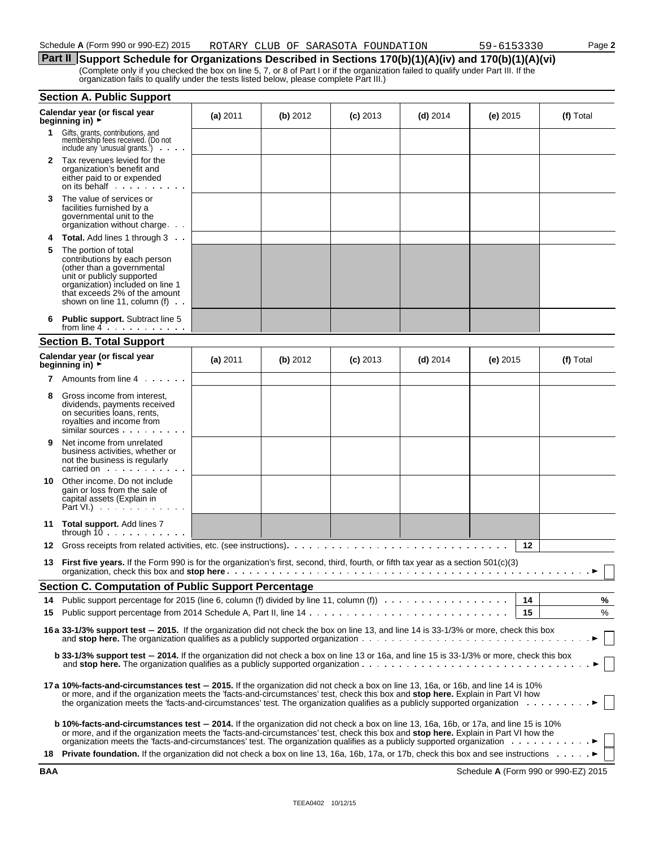# **Part II** Support Schedule for Organizations Described in Sections 170(b)(1)(A)(iv) and 170(b)(1)(A)(vi)

(Complete only if you checked the box on line 5, 7, or 8 of Part I or if the organization failed to qualify under Part III. If the organization fails to qualify under the tests listed below, please complete Part III.)

|    | <b>Section A. Public Support</b>                                                                                                                                                                                                                                                                                                                                                                  |          |            |            |            |            |           |
|----|---------------------------------------------------------------------------------------------------------------------------------------------------------------------------------------------------------------------------------------------------------------------------------------------------------------------------------------------------------------------------------------------------|----------|------------|------------|------------|------------|-----------|
|    | Calendar year (or fiscal year<br>beginning in) $\overrightarrow{r}$                                                                                                                                                                                                                                                                                                                               | (a) 2011 | (b) $2012$ | $(c)$ 2013 | $(d)$ 2014 | (e) $2015$ | (f) Total |
| 1. | Gifts, grants, contributions, and<br>membership fees received. (Do not<br>include any 'unusual grants.')<br><b>Contractor</b>                                                                                                                                                                                                                                                                     |          |            |            |            |            |           |
|    | 2 Tax revenues levied for the<br>organization's benefit and<br>either paid to or expended<br>on its behalf                                                                                                                                                                                                                                                                                        |          |            |            |            |            |           |
| 3  | The value of services or<br>facilities furnished by a<br>governmental unit to the<br>organization without charge                                                                                                                                                                                                                                                                                  |          |            |            |            |            |           |
| 4  | <b>Total.</b> Add lines 1 through 3                                                                                                                                                                                                                                                                                                                                                               |          |            |            |            |            |           |
| 5  | The portion of total<br>contributions by each person<br>(other than a governmental<br>unit or publicly supported<br>organization) included on line 1<br>that exceeds 2% of the amount<br>shown on line 11, column $(f)$ .                                                                                                                                                                         |          |            |            |            |            |           |
|    | <b>Public support.</b> Subtract line 5<br>from line $4 \cdot \cdot \cdot \cdot \cdot \cdot$                                                                                                                                                                                                                                                                                                       |          |            |            |            |            |           |
|    | <b>Section B. Total Support</b>                                                                                                                                                                                                                                                                                                                                                                   |          |            |            |            |            |           |
|    | Calendar year (or fiscal year<br>beginning in) $\rightarrow$                                                                                                                                                                                                                                                                                                                                      | (a) 2011 | (b) $2012$ | $(c)$ 2013 | $(d)$ 2014 | (e) $2015$ | (f) Total |
| 7  | Amounts from line 4                                                                                                                                                                                                                                                                                                                                                                               |          |            |            |            |            |           |
| 8  | Gross income from interest,<br>dividends, payments received<br>on securities loans, rents,<br>royalties and income from<br>similar sources                                                                                                                                                                                                                                                        |          |            |            |            |            |           |
| 9  | Net income from unrelated<br>business activities, whether or<br>not the business is regularly<br>carried on the carried on the care of the care of the care of the care of the care of the care of the care of the care of the care of the care of the care of the care of the care of the care of the care of the care of the                                                                    |          |            |            |            |            |           |
| 10 | Other income. Do not include<br>gain or loss from the sale of<br>capital assets (Explain in<br>Part VI.) $\cdots$                                                                                                                                                                                                                                                                                 |          |            |            |            |            |           |
|    | 11 Total support. Add lines 7<br>through $10$                                                                                                                                                                                                                                                                                                                                                     |          |            |            |            |            |           |
| 12 |                                                                                                                                                                                                                                                                                                                                                                                                   |          |            |            |            | 12         |           |
| 13 | First five years. If the Form 990 is for the organization's first, second, third, fourth, or fifth tax year as a section 501(c)(3)<br>organization, check this box and <b>stop here expansion to the state of the state of the state of the state of the state of the state of the state of the state of the state of the state of the state of the state of the sta</b>                          |          |            |            |            |            |           |
|    | Section C. Computation of Public Support Percentage                                                                                                                                                                                                                                                                                                                                               |          |            |            |            |            |           |
| 14 | Public support percentage for 2015 (line 6, column (f) divided by line 11, column (f)                                                                                                                                                                                                                                                                                                             |          |            |            |            | 14         | ℅         |
| 15 |                                                                                                                                                                                                                                                                                                                                                                                                   |          |            |            |            | 15         | %         |
|    | 16 a 33-1/3% support test - 2015. If the organization did not check the box on line 13, and line 14 is 33-1/3% or more, check this box<br>and stop here. The organization qualifies as a publicly supported organization $\cdots$ , , , , , , ,                                                                                                                                                   |          |            |            |            |            |           |
|    | <b>b 33-1/3% support test – 2014.</b> If the organization did not check a box on line 13 or 16a, and line 15 is 33-1/3% or more, check this box                                                                                                                                                                                                                                                   |          |            |            |            |            |           |
|    | 17a 10%-facts-and-circumstances test - 2015. If the organization did not check a box on line 13, 16a, or 16b, and line 14 is 10%<br>or more, and if the organization meets the 'facts-and-circumstances' test, check this box and stop here. Explain in Part VI how<br>the organization meets the 'facts-and-circumstances' test. The organization qualifies as a publicly supported organization |          |            |            |            |            |           |
|    | <b>b 10%-facts-and-circumstances test - 2014.</b> If the organization did not check a box on line 13, 16a, 16b, or 17a, and line 15 is 10%<br>or more, and if the organization meets the 'facts-and-circumstances' test, check this box and <b>stop here.</b> Explain in Part VI how the                                                                                                          |          |            |            |            |            |           |
| 18 | <b>Private foundation.</b> If the organization did not check a box on line 13, 16a, 16b, 17a, or 17b, check this box and see instructions                                                                                                                                                                                                                                                         |          |            |            |            |            |           |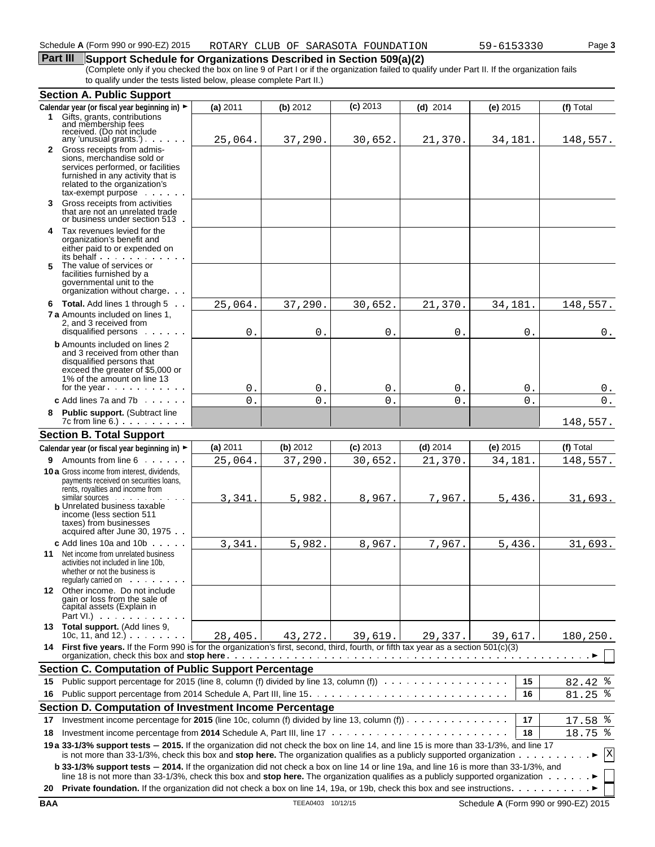#### **Part III** Support Schedule for Organizations Described in Section 509(a)(2)

(Complete only if you checked the box on line 9 of Part I or if the organization failed to qualify under Part II. If the organization fails to qualify under the tests listed below, please complete Part II.)

|            | <b>Section A. Public Support</b>                                                                                                                                                                                                                                                       |              |                   |                  |            |                  |                                      |
|------------|----------------------------------------------------------------------------------------------------------------------------------------------------------------------------------------------------------------------------------------------------------------------------------------|--------------|-------------------|------------------|------------|------------------|--------------------------------------|
|            | Calendar year (or fiscal year beginning in) ►                                                                                                                                                                                                                                          | (a) 2011     | (b) 2012          | $(c)$ 2013       | $(d)$ 2014 | $(e)$ 2015       | (f) Total                            |
|            | 1 Gifts, grants, contributions<br>and membership fees                                                                                                                                                                                                                                  |              |                   |                  |            |                  |                                      |
|            | received. (Do not include                                                                                                                                                                                                                                                              |              |                   |                  |            |                  |                                      |
|            | any 'unusual grants.') $\cdots$<br>2 Gross receipts from admis-                                                                                                                                                                                                                        | 25,064.      | 37,290.           | 30,652.          | 21,370.    | 34,181.          | 148,557.                             |
|            | sions, merchandise sold or                                                                                                                                                                                                                                                             |              |                   |                  |            |                  |                                      |
|            | services performed, or facilities                                                                                                                                                                                                                                                      |              |                   |                  |            |                  |                                      |
|            | furnished in any activity that is<br>related to the organization's                                                                                                                                                                                                                     |              |                   |                  |            |                  |                                      |
|            | $tax$ -exempt purpose $\ldots$                                                                                                                                                                                                                                                         |              |                   |                  |            |                  |                                      |
|            | 3 Gross receipts from activities                                                                                                                                                                                                                                                       |              |                   |                  |            |                  |                                      |
|            | that are not an unrelated trade<br>or business under section 513.                                                                                                                                                                                                                      |              |                   |                  |            |                  |                                      |
|            | 4 Tax revenues levied for the                                                                                                                                                                                                                                                          |              |                   |                  |            |                  |                                      |
|            | organization's benefit and<br>either paid to or expended on                                                                                                                                                                                                                            |              |                   |                  |            |                  |                                      |
|            | its behalf                                                                                                                                                                                                                                                                             |              |                   |                  |            |                  |                                      |
| 5          | The value of services or<br>facilities furnished by a                                                                                                                                                                                                                                  |              |                   |                  |            |                  |                                      |
|            | governmental unit to the                                                                                                                                                                                                                                                               |              |                   |                  |            |                  |                                      |
|            | organization without charge                                                                                                                                                                                                                                                            |              |                   |                  |            |                  |                                      |
|            | 6 Total. Add lines 1 through 5                                                                                                                                                                                                                                                         | 25,064.      | 37,290.           | 30,652.          | 21,370.    | 34,181.          | 148,557.                             |
|            | <b>7 a</b> Amounts included on lines 1.<br>2, and 3 received from                                                                                                                                                                                                                      |              |                   |                  |            |                  |                                      |
|            | disqualified persons                                                                                                                                                                                                                                                                   | $\mathsf{O}$ | $\mathsf 0$       | $\mathbf 0$ .    | 0          | 0.               | $0$ .                                |
|            | <b>b</b> Amounts included on lines 2                                                                                                                                                                                                                                                   |              |                   |                  |            |                  |                                      |
|            | and 3 received from other than<br>disqualified persons that                                                                                                                                                                                                                            |              |                   |                  |            |                  |                                      |
|            | exceed the greater of \$5,000 or                                                                                                                                                                                                                                                       |              |                   |                  |            |                  |                                      |
|            | 1% of the amount on line 13<br>for the year                                                                                                                                                                                                                                            | 0.           | 0.                | 0.               | 0.         | 0.               | 0.                                   |
|            | c Add lines $7a$ and $7b$                                                                                                                                                                                                                                                              | 0.           | $0$ .             | $\overline{0}$ . | 0.         | $\overline{0}$ . | $0$ .                                |
|            | 8 Public support. (Subtract line                                                                                                                                                                                                                                                       |              |                   |                  |            |                  |                                      |
|            | $7c$ from line $6.$ ) $\ldots$ $\ldots$                                                                                                                                                                                                                                                |              |                   |                  |            |                  | 148,557.                             |
|            | <b>Section B. Total Support</b>                                                                                                                                                                                                                                                        |              |                   |                  |            |                  |                                      |
|            | Calendar year (or fiscal year beginning in) ►                                                                                                                                                                                                                                          | (a) 2011     | (b) 2012          | $(c)$ 2013       | $(d)$ 2014 | $(e)$ 2015       | (f) Total                            |
| 9.         | Amounts from line 6                                                                                                                                                                                                                                                                    | 25,064.      | 37,290.           | 30,652.          | 21,370.    | 34,181.          | 148,557.                             |
|            | 10 a Gross income from interest, dividends,<br>payments received on securities loans,                                                                                                                                                                                                  |              |                   |                  |            |                  |                                      |
|            | rents, royalties and income from                                                                                                                                                                                                                                                       |              |                   |                  |            |                  |                                      |
|            | similar sources<br><b>b</b> Unrelated business taxable                                                                                                                                                                                                                                 | 3,341        | 5,982             | 8,967            | 7,967      | 5,436            | 31,693.                              |
|            | income (less section 511                                                                                                                                                                                                                                                               |              |                   |                  |            |                  |                                      |
|            | taxes) from businesses<br>acquired after June 30, 1975                                                                                                                                                                                                                                 |              |                   |                  |            |                  |                                      |
|            | c Add lines 10a and 10b $\cdots$                                                                                                                                                                                                                                                       | 3,341        | 5,982.            | 8,967.           | 7,967.     | 5,436.           | 31,693.                              |
| 11         | Net income from unrelated business                                                                                                                                                                                                                                                     |              |                   |                  |            |                  |                                      |
|            | activities not included in line 10b,                                                                                                                                                                                                                                                   |              |                   |                  |            |                  |                                      |
|            | whether or not the business is<br>regularly carried on                                                                                                                                                                                                                                 |              |                   |                  |            |                  |                                      |
|            | 12 Other income. Do not include                                                                                                                                                                                                                                                        |              |                   |                  |            |                  |                                      |
|            | gain or loss from the sale of<br>capital assets (Explain in                                                                                                                                                                                                                            |              |                   |                  |            |                  |                                      |
|            | Part VI.) $\cdots$ $\cdots$                                                                                                                                                                                                                                                            |              |                   |                  |            |                  |                                      |
|            | 13 Total support. (Add lines 9,                                                                                                                                                                                                                                                        |              |                   |                  |            |                  |                                      |
|            | 10c, 11, and 12.) $\ldots$<br>14 First five years. If the Form 990 is for the organization's first, second, third, fourth, or fifth tax year as a section 501(c)(3)                                                                                                                    | 28,405.      | 43, 272.          | 39,619.          | 29,337.    | 39,617.1         | 180,250.                             |
|            |                                                                                                                                                                                                                                                                                        |              |                   |                  |            |                  |                                      |
|            | <b>Section C. Computation of Public Support Percentage</b>                                                                                                                                                                                                                             |              |                   |                  |            |                  |                                      |
| 15         | Public support percentage for 2015 (line 8, column (f) divided by line 13, column (f)                                                                                                                                                                                                  |              |                   |                  |            | 15               | $82.42$ $%$                          |
| 16         |                                                                                                                                                                                                                                                                                        |              |                   |                  |            | 16               | 81.25 %                              |
|            | Section D. Computation of Investment Income Percentage                                                                                                                                                                                                                                 |              |                   |                  |            |                  |                                      |
| 17         | Investment income percentage for 2015 (line 10c, column (f) divided by line 13, column (f) $\dots \dots \dots \dots$                                                                                                                                                                   |              |                   |                  |            | 17               | $17.58$ %                            |
| 18         |                                                                                                                                                                                                                                                                                        |              |                   |                  |            | 18               | 18.75 %                              |
|            | 19 a 33-1/3% support tests - 2015. If the organization did not check the box on line 14, and line 15 is more than 33-1/3%, and line 17                                                                                                                                                 |              |                   |                  |            |                  | $\boldsymbol{\mathrm{X}}$            |
|            | is not more than 33-1/3%, check this box and stop here. The organization qualifies as a publicly supported organization $\cdots \cdots \cdots$                                                                                                                                         |              |                   |                  |            |                  |                                      |
|            | b 33-1/3% support tests - 2014. If the organization did not check a box on line 14 or line 19a, and line 16 is more than 33-1/3%, and<br>line 18 is not more than 33-1/3%, check this box and stop here. The organization qualifies as a publicly supported organization $\dots \dots$ |              |                   |                  |            |                  |                                      |
| 20         | <b>Private foundation.</b> If the organization did not check a box on line 14, 19a, or 19b, check this box and see instructions.                                                                                                                                                       |              |                   |                  |            |                  |                                      |
| <b>BAA</b> |                                                                                                                                                                                                                                                                                        |              | TEEA0403 10/12/15 |                  |            |                  | Schedule A (Form 990 or 990-EZ) 2015 |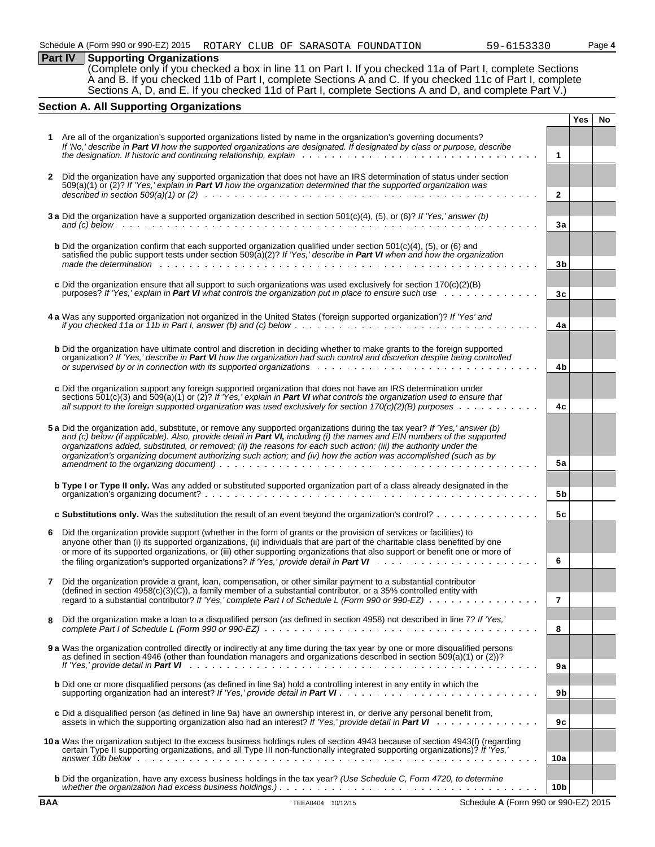#### **Part IV Supporting Organizations**

(Complete only if you checked a box in line 11 on Part I. If you checked 11a of Part I, complete Sections A and B. If you checked 11b of Part I, complete Sections A and C. If you checked 11c of Part I, complete Sections A, D, and E. If you checked 11d of Part I, complete Sections A and D, and complete Part V.)

#### **Section A. All Supporting Organizations**

|              |                                                                                                                                                                                                                                                                                                                                                                                 |                | <b>Yes</b> | No |
|--------------|---------------------------------------------------------------------------------------------------------------------------------------------------------------------------------------------------------------------------------------------------------------------------------------------------------------------------------------------------------------------------------|----------------|------------|----|
|              | 1 Are all of the organization's supported organizations listed by name in the organization's governing documents?<br>If 'No,' describe in Part VI how the supported organizations are designated. If designated by class or purpose, describe                                                                                                                                   |                |            |    |
|              | the designation. If historic and continuing relationship, explain with the designation. If the designation. If $\alpha$                                                                                                                                                                                                                                                         | $\mathbf{1}$   |            |    |
| $\mathbf{2}$ | Did the organization have any supported organization that does not have an IRS determination of status under section<br>509(a)(1) or (2)? If 'Yes,' explain in Part VI how the organization determined that the supported organization was                                                                                                                                      |                |            |    |
|              |                                                                                                                                                                                                                                                                                                                                                                                 | $\overline{2}$ |            |    |
|              | 3 a Did the organization have a supported organization described in section $501(c)(4)$ , (5), or (6)? If 'Yes,' answer (b)                                                                                                                                                                                                                                                     | За             |            |    |
|              |                                                                                                                                                                                                                                                                                                                                                                                 |                |            |    |
|              | <b>b</b> Did the organization confirm that each supported organization qualified under section $501(c)(4)$ , $(5)$ , or $(6)$ and<br>satisfied the public support tests under section 509(a)(2)? If 'Yes,' describe in Part VI when and how the organization                                                                                                                    | 3b             |            |    |
|              |                                                                                                                                                                                                                                                                                                                                                                                 |                |            |    |
|              | c Did the organization ensure that all support to such organizations was used exclusively for section $170(c)(2)(B)$<br>purposes? If 'Yes,' explain in Part VI what controls the organization put in place to ensure such use                                                                                                                                                   | 3c             |            |    |
|              | 4 a Was any supported organization not organized in the United States ('foreign supported organization')? If 'Yes' and                                                                                                                                                                                                                                                          |                |            |    |
|              |                                                                                                                                                                                                                                                                                                                                                                                 | 4a             |            |    |
|              | <b>b</b> Did the organization have ultimate control and discretion in deciding whether to make grants to the foreign supported                                                                                                                                                                                                                                                  |                |            |    |
|              | organization? If 'Yes,' describe in Part VI how the organization had such control and discretion despite being controlled<br>or supervised by or in connection with its supported organizations $\cdots \cdots \cdots \cdots \cdots \cdots \cdots \cdots \cdots \cdots \cdots$                                                                                                  | 4b             |            |    |
|              | c Did the organization support any foreign supported organization that does not have an IRS determination under                                                                                                                                                                                                                                                                 |                |            |    |
|              | sections $501(c)(3)$ and $509(a)(1)$ or $(2)$ ? If 'Yes,' explain in <b>Part VI</b> what controls the organization used to ensure that                                                                                                                                                                                                                                          |                |            |    |
|              | all support to the foreign supported organization was used exclusively for section $170(c)(2)(B)$ purposes                                                                                                                                                                                                                                                                      | 4c             |            |    |
|              | 5 a Did the organization add, substitute, or remove any supported organizations during the tax year? If 'Yes,' answer (b)<br>and (c) below (if applicable). Also, provide detail in Part VI, including (i) the names and EIN numbers of the supported<br>organizations added, substituted, or removed; (ii) the reasons for each such action; (iii) the authority under the     |                |            |    |
|              | organization's organizing document authorizing such action; and (iv) how the action was accomplished (such as by                                                                                                                                                                                                                                                                | 5a             |            |    |
|              |                                                                                                                                                                                                                                                                                                                                                                                 |                |            |    |
|              | b Type I or Type II only. Was any added or substituted supported organization part of a class already designated in the                                                                                                                                                                                                                                                         | 5 <sub>b</sub> |            |    |
|              | c Substitutions only. Was the substitution the result of an event beyond the organization's control?                                                                                                                                                                                                                                                                            | 5с             |            |    |
| 6            | Did the organization provide support (whether in the form of grants or the provision of services or facilities) to<br>anyone other than (i) its supported organizations, (ii) individuals that are part of the charitable class benefited by one<br>or more of its supported organizations, or (iii) other supporting organizations that also support or benefit one or more of |                |            |    |
|              |                                                                                                                                                                                                                                                                                                                                                                                 | 6              |            |    |
|              | Did the organization provide a grant, loan, compensation, or other similar payment to a substantial contributor<br>(defined in section 4958(c)(3)(C)), a family member of a substantial contributor, or a 35% controlled entity with                                                                                                                                            |                |            |    |
|              | regard to a substantial contributor? If 'Yes,' complete Part I of Schedule L (Form 990 or 990-EZ)                                                                                                                                                                                                                                                                               | $\overline{7}$ |            |    |
| 8            | Did the organization make a loan to a disqualified person (as defined in section 4958) not described in line 7? If 'Yes,'                                                                                                                                                                                                                                                       | 8              |            |    |
|              |                                                                                                                                                                                                                                                                                                                                                                                 |                |            |    |
|              | 9 a Was the organization controlled directly or indirectly at any time during the tax year by one or more disqualified persons<br>as defined in section 4946 (other than foundation managers and organizations described in section 509(a)(1) or (2))?                                                                                                                          | 9a             |            |    |
|              |                                                                                                                                                                                                                                                                                                                                                                                 |                |            |    |
|              | b Did one or more disqualified persons (as defined in line 9a) hold a controlling interest in any entity in which the                                                                                                                                                                                                                                                           | 9b             |            |    |
|              | c Did a disqualified person (as defined in line 9a) have an ownership interest in, or derive any personal benefit from,<br>assets in which the supporting organization also had an interest? If 'Yes,' provide detail in Part VI                                                                                                                                                | 9c             |            |    |
|              | 10a Was the organization subject to the excess business holdings rules of section 4943 because of section 4943(f) (regarding<br>certain Type II supporting organizations, and all Type III non-functionally integrated supporting organizations)? If 'Yes,'                                                                                                                     |                |            |    |
|              |                                                                                                                                                                                                                                                                                                                                                                                 | 10a            |            |    |
|              | <b>b</b> Did the organization, have any excess business holdings in the tax year? (Use Schedule C, Form 4720, to determine                                                                                                                                                                                                                                                      | 10b            |            |    |
| <b>BAA</b>   | TEEA0404 10/12/15 Schedule A (Form 990 or 990-EZ) 2015                                                                                                                                                                                                                                                                                                                          |                |            |    |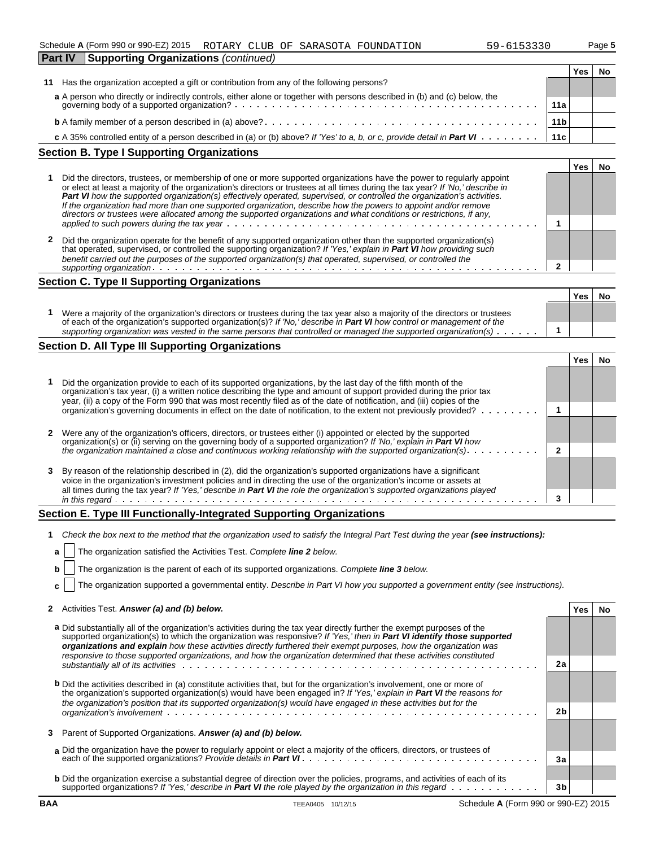| Schedule A (Form 990 or 990-EZ) 2015 ROTARY CLUB OF SARASOTA FOUNDATION |  |  |  |  |  | 59-6153330 | Page 5 |
|-------------------------------------------------------------------------|--|--|--|--|--|------------|--------|
|-------------------------------------------------------------------------|--|--|--|--|--|------------|--------|

|  |  | 59-6153330 |  |  |  |  |  |  |  |
|--|--|------------|--|--|--|--|--|--|--|
|--|--|------------|--|--|--|--|--|--|--|

| Supporting Organizations (continued)<br><b>Part IV</b>                                                                    |                 |     |    |
|---------------------------------------------------------------------------------------------------------------------------|-----------------|-----|----|
|                                                                                                                           |                 | Yes | No |
| Has the organization accepted a gift or contribution from any of the following persons?<br>11                             |                 |     |    |
| a A person who directly or indirectly controls, either alone or together with persons described in (b) and (c) below, the |                 |     |    |
|                                                                                                                           | 11a             |     |    |
|                                                                                                                           | 11 <sub>b</sub> |     |    |
| c A 35% controlled entity of a person described in (a) or (b) above? If 'Yes' to a, b, or c, provide detail in Part VI    | 11 <sub>c</sub> |     |    |
| <b>Section B. Type I Supporting Organizations</b>                                                                         |                 |     |    |

|                                                                                                                                                                                                                                                                                                                                                                                                                                                                                                                                                                                                                               |  | res |  |
|-------------------------------------------------------------------------------------------------------------------------------------------------------------------------------------------------------------------------------------------------------------------------------------------------------------------------------------------------------------------------------------------------------------------------------------------------------------------------------------------------------------------------------------------------------------------------------------------------------------------------------|--|-----|--|
| Did the directors, trustees, or membership of one or more supported organizations have the power to regularly appoint<br>or elect at least a majority of the organization's directors or trustees at all times during the tax year? If 'No,' describe in<br>Part VI how the supported organization(s) effectively operated, supervised, or controlled the organization's activities.<br>If the organization had more than one supported organization, describe how the powers to appoint and/or remove<br>directors or trustees were allocated among the supported organizations and what conditions or restrictions, if any, |  |     |  |
|                                                                                                                                                                                                                                                                                                                                                                                                                                                                                                                                                                                                                               |  |     |  |
| Did the organization operate for the benefit of any supported organization other than the supported organization(s)<br>that operated, supervised, or controlled the supporting organization? If 'Yes,' explain in Part VI how providing such<br>benefit carried out the purposes of the supported organization(s) that operated, supervised, or controlled the                                                                                                                                                                                                                                                                |  |     |  |
| supporting organization                                                                                                                                                                                                                                                                                                                                                                                                                                                                                                                                                                                                       |  |     |  |

### **Section C. Type II Supporting Organizations**

|  |                                                                                                                                                                                                                                                               | Yes | N |
|--|---------------------------------------------------------------------------------------------------------------------------------------------------------------------------------------------------------------------------------------------------------------|-----|---|
|  | Were a majority of the organization's directors or trustees during the tax year also a majority of the directors or trustees<br>of each of the organization's supported organization(s)? If 'No,' describe in <b>Part VI</b> how control or management of the |     |   |
|  | supporting organization was vested in the same persons that controlled or managed the supported organization(s) $\ldots$                                                                                                                                      |     |   |

## **Section D. All Type III Supporting Organizations**

|                                                                                                                                                                                                                                                                                                                                                                   |  | res |  |  |
|-------------------------------------------------------------------------------------------------------------------------------------------------------------------------------------------------------------------------------------------------------------------------------------------------------------------------------------------------------------------|--|-----|--|--|
| Did the organization provide to each of its supported organizations, by the last day of the fifth month of the<br>organization's tax year, (i) a written notice describing the type and amount of support provided during the prior tax<br>year, (ii) a copy of the Form 990 that was most recently filed as of the date of notification, and (iii) copies of the |  |     |  |  |
| organization's governing documents in effect on the date of notification, to the extent not previously provided? $\ldots \ldots \ldots$                                                                                                                                                                                                                           |  |     |  |  |
|                                                                                                                                                                                                                                                                                                                                                                   |  |     |  |  |
| Were any of the organization's officers, directors, or trustees either (i) appointed or elected by the supported<br>organization(s) or (ii) serving on the governing body of a supported organization? If 'No,' explain in Part VI how                                                                                                                            |  |     |  |  |
| the organization maintained a close and continuous working relationship with the supported organization(s). $\dots \dots \dots$                                                                                                                                                                                                                                   |  |     |  |  |
| By reason of the relationship described in (2), did the organization's supported organizations have a significant<br>voice in the organization's investment policies and in directing the use of the organization's income or assets at                                                                                                                           |  |     |  |  |
| all times during the tax year? If 'Yes,' describe in Part VI the role the organization's supported organizations played<br>in this regard.<br>and a series and a series and a series of                                                                                                                                                                           |  |     |  |  |

## **Section E. Type III Functionally-Integrated Supporting Organizations**

|  | Check the box next to the method that the organization used to satisfy the Integral Part Test during the year (see instructions): |  |  |  |  |
|--|-----------------------------------------------------------------------------------------------------------------------------------|--|--|--|--|
|--|-----------------------------------------------------------------------------------------------------------------------------------|--|--|--|--|

| <b>a</b>   The organization satisfied the Activities Test. Complete <b>line 2</b> below.               |  |
|--------------------------------------------------------------------------------------------------------|--|
| <b>b</b> The organization is the parent of each of its supported organizations. Complete line 3 below. |  |

|  | $c$   The organization supported a governmental entity. Describe in Part VI how you supported a government entity (see instructions). |
|--|---------------------------------------------------------------------------------------------------------------------------------------|
|  |                                                                                                                                       |

|  | 2 Activities Test. Answer (a) and (b) below. | Yes No |  |
|--|----------------------------------------------|--------|--|
|--|----------------------------------------------|--------|--|

| <b>BAA</b>                                                     | TEEA0405 10/12/15                                                                                                                                                                                                                                                                                                                                                             | Schedule A (Form 990 or 990-EZ) 2015 |    |  |  |  |  |
|----------------------------------------------------------------|-------------------------------------------------------------------------------------------------------------------------------------------------------------------------------------------------------------------------------------------------------------------------------------------------------------------------------------------------------------------------------|--------------------------------------|----|--|--|--|--|
|                                                                | <b>b</b> Did the organization exercise a substantial degree of direction over the policies, programs, and activities of each of its<br>supported organizations? If 'Yes,' describe in <b>Part VI</b> the role played by the organization in this regard $\cdots$                                                                                                              |                                      | 3b |  |  |  |  |
|                                                                | a Did the organization have the power to regularly appoint or elect a majority of the officers, directors, or trustees of<br>each of the supported organizations? Provide details in Part VI.                                                                                                                                                                                 |                                      | Зa |  |  |  |  |
| 3 Parent of Supported Organizations. Answer (a) and (b) below. |                                                                                                                                                                                                                                                                                                                                                                               |                                      |    |  |  |  |  |
|                                                                | <b>b</b> Did the activities described in (a) constitute activities that, but for the organization's involvement, one or more of<br>the organization's supported organization(s) would have been engaged in? If 'Yes,' explain in Part VI the reasons for<br>the organization's position that its supported organization(s) would have engaged in these activities but for the |                                      | 2b |  |  |  |  |
|                                                                | responsive to those supported organizations, and how the organization determined that these activities constituted<br>substantially all of its activities enterpretation of the content of the content of the content of the content                                                                                                                                          |                                      |    |  |  |  |  |
|                                                                | a Did substantially all of the organization's activities during the tax year directly further the exempt purposes of the<br>supported organization(s) to which the organization was responsive? If 'Yes,' then in Part VI identify those supported<br>organizations and explain how these activities directly furthered their exempt purposes, how the organization was       |                                      |    |  |  |  |  |
|                                                                |                                                                                                                                                                                                                                                                                                                                                                               |                                      |    |  |  |  |  |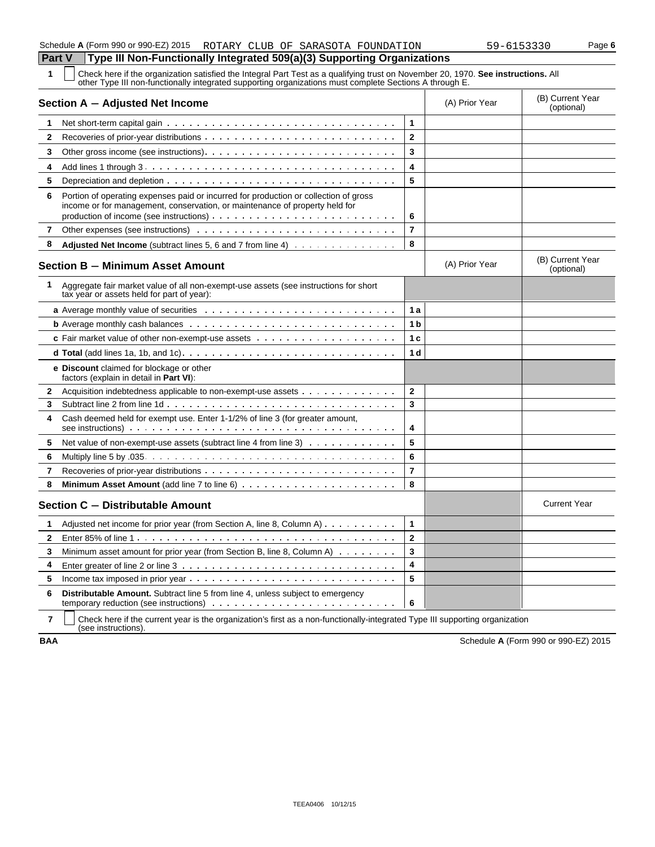**1** Check here if the organization satisfied the Integral Part Test as a qualifying trust on November 20, 1970. **See instructions.** All other Type III non-functionally integrated supporting organizations must complete Sections A through E.

|    | Section A - Adjusted Net Income                                                                                                                                                                                                                                                                               |                | (A) Prior Year | (B) Current Year<br>(optional) |
|----|---------------------------------------------------------------------------------------------------------------------------------------------------------------------------------------------------------------------------------------------------------------------------------------------------------------|----------------|----------------|--------------------------------|
| 1  |                                                                                                                                                                                                                                                                                                               | 1              |                |                                |
| 2  |                                                                                                                                                                                                                                                                                                               | $\mathbf{2}$   |                |                                |
| 3  |                                                                                                                                                                                                                                                                                                               | 3              |                |                                |
| 4  |                                                                                                                                                                                                                                                                                                               | 4              |                |                                |
| 5  |                                                                                                                                                                                                                                                                                                               | 5              |                |                                |
| 6  | Portion of operating expenses paid or incurred for production or collection of gross<br>income or for management, conservation, or maintenance of property held for                                                                                                                                           | 6              |                |                                |
| 7  |                                                                                                                                                                                                                                                                                                               | $\overline{7}$ |                |                                |
| 8  | <b>Adjusted Net Income</b> (subtract lines 5, 6 and 7 from line 4) $\ldots$                                                                                                                                                                                                                                   | 8              |                |                                |
|    | <b>Section B - Minimum Asset Amount</b>                                                                                                                                                                                                                                                                       |                | (A) Prior Year | (B) Current Year<br>(optional) |
| 1. | Aggregate fair market value of all non-exempt-use assets (see instructions for short<br>tax year or assets held for part of year):                                                                                                                                                                            |                |                |                                |
|    | <b>a</b> Average monthly value of securities enterminated value of $\alpha$                                                                                                                                                                                                                                   | 1 a            |                |                                |
|    | <b>b</b> Average monthly cash balances $\ldots$ , $\ldots$ , $\ldots$ , $\ldots$ , $\ldots$ , $\ldots$ , $\ldots$ , $\ldots$ , $\ldots$                                                                                                                                                                       | 1 b            |                |                                |
|    |                                                                                                                                                                                                                                                                                                               | 1 <sub>c</sub> |                |                                |
|    |                                                                                                                                                                                                                                                                                                               | 1 <sub>d</sub> |                |                                |
|    | e Discount claimed for blockage or other<br>factors (explain in detail in Part VI):                                                                                                                                                                                                                           |                |                |                                |
| 2  | Acquisition indebtedness applicable to non-exempt-use assets                                                                                                                                                                                                                                                  | $\mathbf 2$    |                |                                |
| 3  |                                                                                                                                                                                                                                                                                                               | 3              |                |                                |
| 4  | Cash deemed held for exempt use. Enter 1-1/2% of line 3 (for greater amount,<br>see instructions) with a contract to contract the contract of the contract of the contract of the contract of the contract of the contract of the contract of the contract of the contract of the contract of the contract of | 4              |                |                                |
| 5  | Net value of non-exempt-use assets (subtract line 4 from line 3) $\ldots$                                                                                                                                                                                                                                     | 5              |                |                                |
| 6  |                                                                                                                                                                                                                                                                                                               | 6              |                |                                |
| 7  |                                                                                                                                                                                                                                                                                                               | $\overline{7}$ |                |                                |
| 8  |                                                                                                                                                                                                                                                                                                               | 8              |                |                                |
|    | Section C - Distributable Amount                                                                                                                                                                                                                                                                              |                |                | <b>Current Year</b>            |
| 1  | Adjusted net income for prior year (from Section A, line 8, Column A) $\dots$                                                                                                                                                                                                                                 | 1              |                |                                |
| 2  |                                                                                                                                                                                                                                                                                                               | $\overline{2}$ |                |                                |
| 3  | Minimum asset amount for prior year (from Section B, line 8, Column A) $\ldots \ldots$                                                                                                                                                                                                                        | 3              |                |                                |
| 4  |                                                                                                                                                                                                                                                                                                               | 4              |                |                                |
| 5  |                                                                                                                                                                                                                                                                                                               | 5              |                |                                |
| 6  | <b>Distributable Amount.</b> Subtract line 5 from line 4, unless subject to emergency                                                                                                                                                                                                                         | 6              |                |                                |

**7** | Check here if the current year is the organization's first as a non-functionally-integrated Type III supporting organization (see instructions).

**BAA** Schedule **A** (Form 990 or 990-EZ) 2015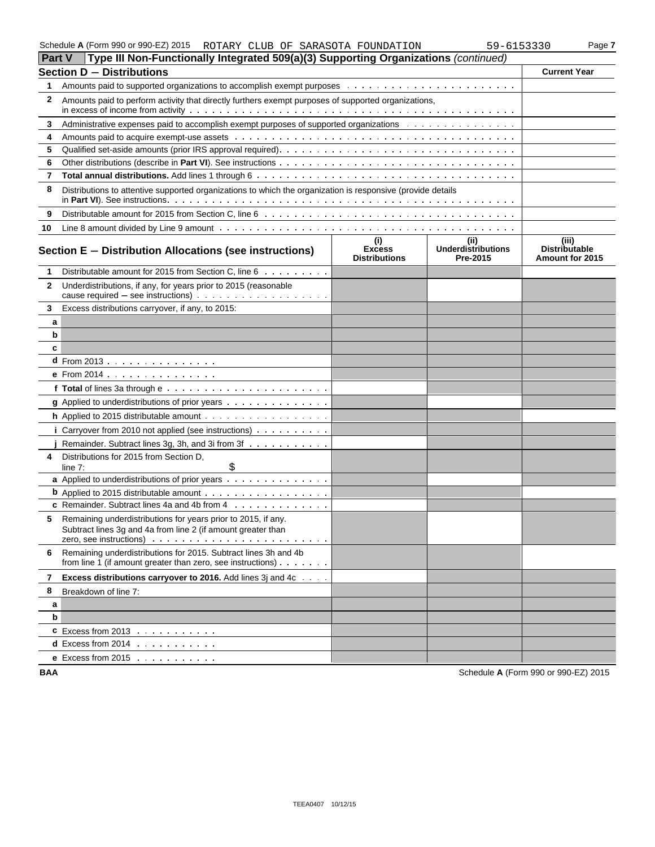| Schedule A (Form 990 or 990-EZ) 2015 | ROTARY | CLUB | ΟF | SARASOTA FOUNDATION | ,153330 | Page |
|--------------------------------------|--------|------|----|---------------------|---------|------|
|                                      |        |      |    |                     |         |      |

| <b>Part V</b> | Type III Non-Functionally Integrated 509(a)(3) Supporting Organizations (continued)                                                     |                                              |                                        |                                                         |
|---------------|-----------------------------------------------------------------------------------------------------------------------------------------|----------------------------------------------|----------------------------------------|---------------------------------------------------------|
|               | <b>Section D - Distributions</b>                                                                                                        |                                              |                                        | <b>Current Year</b>                                     |
| 1             |                                                                                                                                         |                                              |                                        |                                                         |
| 2             | Amounts paid to perform activity that directly furthers exempt purposes of supported organizations,                                     |                                              |                                        |                                                         |
| 3             | Administrative expenses paid to accomplish exempt purposes of supported organizations                                                   |                                              |                                        |                                                         |
| 4             |                                                                                                                                         |                                              |                                        |                                                         |
| 5             |                                                                                                                                         |                                              |                                        |                                                         |
| 6             |                                                                                                                                         |                                              |                                        |                                                         |
| 7             |                                                                                                                                         |                                              |                                        |                                                         |
| 8             | Distributions to attentive supported organizations to which the organization is responsive (provide details                             |                                              |                                        |                                                         |
| 9             |                                                                                                                                         |                                              |                                        |                                                         |
| 10            |                                                                                                                                         |                                              |                                        |                                                         |
|               | Section E - Distribution Allocations (see instructions)                                                                                 | (i)<br><b>Excess</b><br><b>Distributions</b> | (ii)<br>Underdistributions<br>Pre-2015 | (iii)<br><b>Distributable</b><br><b>Amount for 2015</b> |
| 1             | Distributable amount for 2015 from Section C, line 6                                                                                    |                                              |                                        |                                                         |
| $\mathbf{2}$  | Underdistributions, if any, for years prior to 2015 (reasonable<br>cause required $-$ see instructions) $\cdots$                        |                                              |                                        |                                                         |
| 3             | Excess distributions carryover, if any, to 2015:                                                                                        |                                              |                                        |                                                         |
| а             |                                                                                                                                         |                                              |                                        |                                                         |
| b             |                                                                                                                                         |                                              |                                        |                                                         |
| c             |                                                                                                                                         |                                              |                                        |                                                         |
|               | <b>d</b> From 2013                                                                                                                      |                                              |                                        |                                                         |
|               | e From 2014                                                                                                                             |                                              |                                        |                                                         |
|               |                                                                                                                                         |                                              |                                        |                                                         |
|               | g Applied to underdistributions of prior years                                                                                          |                                              |                                        |                                                         |
|               | h Applied to 2015 distributable amount                                                                                                  |                                              |                                        |                                                         |
|               | i Carryover from 2010 not applied (see instructions) $\cdots$                                                                           |                                              |                                        |                                                         |
|               | Remainder. Subtract lines 3g, 3h, and 3i from 3f                                                                                        |                                              |                                        |                                                         |
| 4             | Distributions for 2015 from Section D,                                                                                                  |                                              |                                        |                                                         |
|               | line $7:$<br>\$                                                                                                                         |                                              |                                        |                                                         |
|               | a Applied to underdistributions of prior years                                                                                          |                                              |                                        |                                                         |
|               | <b>b</b> Applied to 2015 distributable amount <u>.</u>                                                                                  |                                              |                                        |                                                         |
|               | <b>c</b> Remainder. Subtract lines 4a and 4b from $4 \cdot \cdot \cdot \cdot \cdot \cdot \cdot \cdot \cdot \cdot \cdot \cdot \cdot$     |                                              |                                        |                                                         |
| 5             | Remaining underdistributions for years prior to 2015, if any.<br>Subtract lines 3g and 4a from line 2 (if amount greater than           |                                              |                                        |                                                         |
| 6             | Remaining underdistributions for 2015. Subtract lines 3h and 4b<br>from line 1 (if amount greater than zero, see instructions) $\cdots$ |                                              |                                        |                                                         |
| 7             | Excess distributions carryover to 2016. Add lines 3j and 4c                                                                             |                                              |                                        |                                                         |
| 8             | Breakdown of line 7:                                                                                                                    |                                              |                                        |                                                         |
| a             |                                                                                                                                         |                                              |                                        |                                                         |
| b             |                                                                                                                                         |                                              |                                        |                                                         |
|               | <b>c</b> Excess from 2013 $\ldots$ $\ldots$ $\ldots$                                                                                    |                                              |                                        |                                                         |
|               | <b>d</b> Excess from $2014$                                                                                                             |                                              |                                        |                                                         |
|               | <b>e</b> Excess from $2015$                                                                                                             |                                              |                                        |                                                         |

**BAA** Schedule **A** (Form 990 or 990-EZ) 2015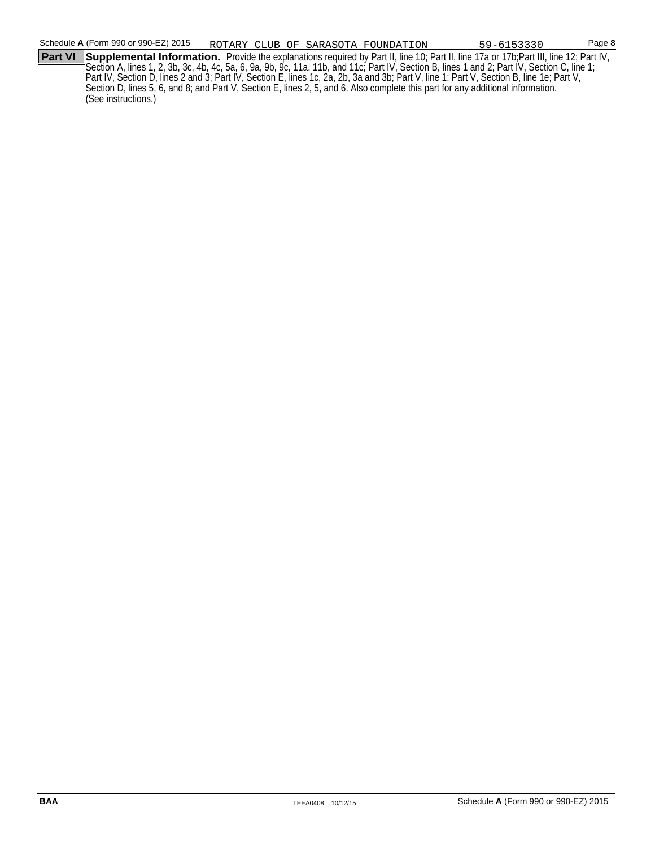**Part VI** Supplemental Information. Provide the explanations required by Part II, line 10; Part II, line 17a or 17b; Part III, line 12; Part IV, Section A, lines 1, 2, 3b, 3c, 4b, 4c, 5a, 6, 9a, 9b, 9c, 11a, 11b, and 11c; Part IV, Section B, lines 1 and 2; Part IV, Section C, line 1; Part IV, Section D, lines 2 and 3; Part IV, Section E, lines 1c, 2a, 2b, 3a and 3b; Part V, line 1; Part V, Section B, line 1e; Part V, Section D, lines 5, 6, and 8; and Part V, Section E, lines 2, 5, and 6. Also complete this part for any additional information. (See instructions.)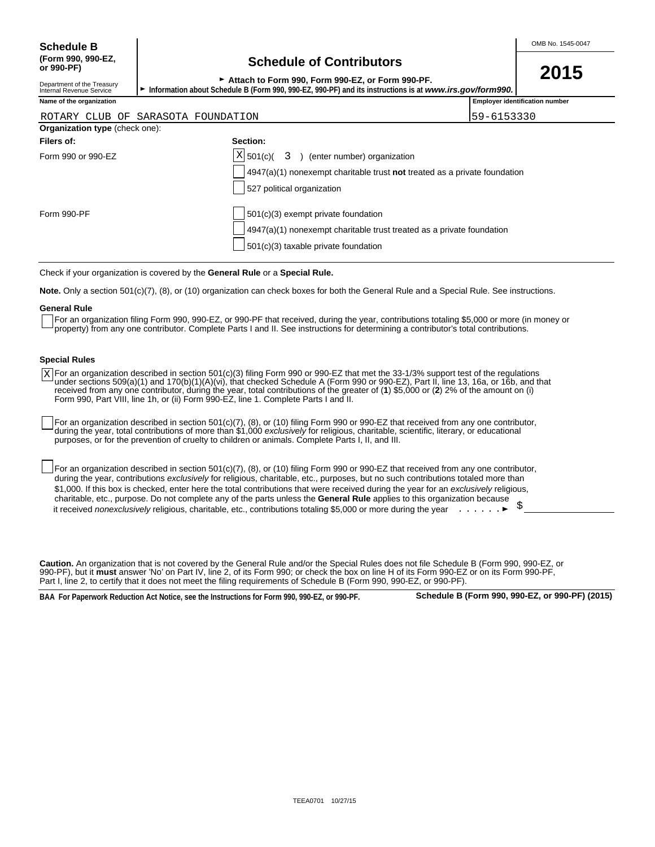# **(Form 990, 990-EZ, Schedule of Contributors or 990-PF)**

| <u>sonogalo of contributor</u>                   |      |  |  |
|--------------------------------------------------|------|--|--|
| Attach to Form 990, Form 990-EZ, or Form 990-PF. | 2015 |  |  |
|                                                  |      |  |  |

Information about Schedule B (Form 990, 990-EZ, 990-PF) and its instructions is at *www.irs.gov/form990.* 

#### Department of the Treasury<br>Internal Revenue Service **Name of the organization Employer identification numbers are all the organization numbers of the organization numbers of the organization numbers of the organization numbers of the organization numbers of the organizati**

| ROTARY CLUB OF SARASOTA FOUNDATION    |                                                                              | 59-6153330 |
|---------------------------------------|------------------------------------------------------------------------------|------------|
| <b>Organization type (check one):</b> |                                                                              |            |
| Filers of:                            | Section:                                                                     |            |
| Form 990 or 990-EZ                    | $ X $ 501(c)( 3) (enter number) organization                                 |            |
|                                       | $ 4947(a)(1)$ nonexempt charitable trust not treated as a private foundation |            |

|             | 527 political organization                                            |
|-------------|-----------------------------------------------------------------------|
| Form 990-PF | 501(c)(3) exempt private foundation                                   |
|             | 4947(a)(1) nonexempt charitable trust treated as a private foundation |
|             | 501(c)(3) taxable private foundation                                  |

Check if your organization is covered by the **General Rule** or a **Special Rule.**

**Note.** Only a section 501(c)(7), (8), or (10) organization can check boxes for both the General Rule and a Special Rule. See instructions.

#### **General Rule**

For an organization filing Form 990, 990-EZ, or 990-PF that received, during the year, contributions totaling \$5,000 or more (in money or property) from any one contributor. Complete Parts I and II. See instructions for determining a contributor's total contributions.

#### **Special Rules**

For an organization described in section 501(c)(3) filing Form 990 or 990-EZ that met the 33-1/3% support test of the regulations under sections 509(a)(1) and 170(b)(1)(A)(vi), that checked Schedule A (Form 990 or 990-EZ), Part II, line 13, 16a, or 16b, and that received from any one contributor, during the year, total contributions of the greater of (**1**) \$5,000 or (**2**) 2% of the amount on (i) Form 990, Part VIII, line 1h, or (ii) Form 990-EZ, line 1. Complete Parts I and II. X

For an organization described in section 501(c)(7), (8), or (10) filing Form 990 or 990-EZ that received from any one contributor, during the year, total contributions of more than \$1,000 *exclusively* for religious, charitable, scientific, literary, or educational purposes, or for the prevention of cruelty to children or animals. Complete Parts I, II, and III.

For an organization described in section 501(c)(7), (8), or (10) filing Form 990 or 990-EZ that received from any one contributor, during the year, contributions *exclusively* for religious, charitable, etc., purposes, but no such contributions totaled more than \$1,000. If this box is checked, enter here the total contributions that were received during the year for an *exclusively* religious, charitable, etc., purpose. Do not complete any of the parts unless the **General Rule** applies to this organization because it received *nonexclusively* religious, charitable, etc., contributions totaling \$5,000 or more during the year **.** . . . . . . ▶

**Caution.** An organization that is not covered by the General Rule and/or the Special Rules does not file Schedule B (Form 990, 990-EZ, or 990-PF), but it **must** answer 'No' on Part IV, line 2, of its Form 990; or check the box on line H of its Form 990-EZ or on its Form 990-PF, Part I, line 2, to certify that it does not meet the filing requirements of Schedule B (Form 990, 990-EZ, or 990-PF)

**BAA For Paperwork Reduction Act Notice, see the Instructions for Form 990, 990-EZ, or 990-PF. Schedule B (Form 990, 990-EZ, or 990-PF) (2015)**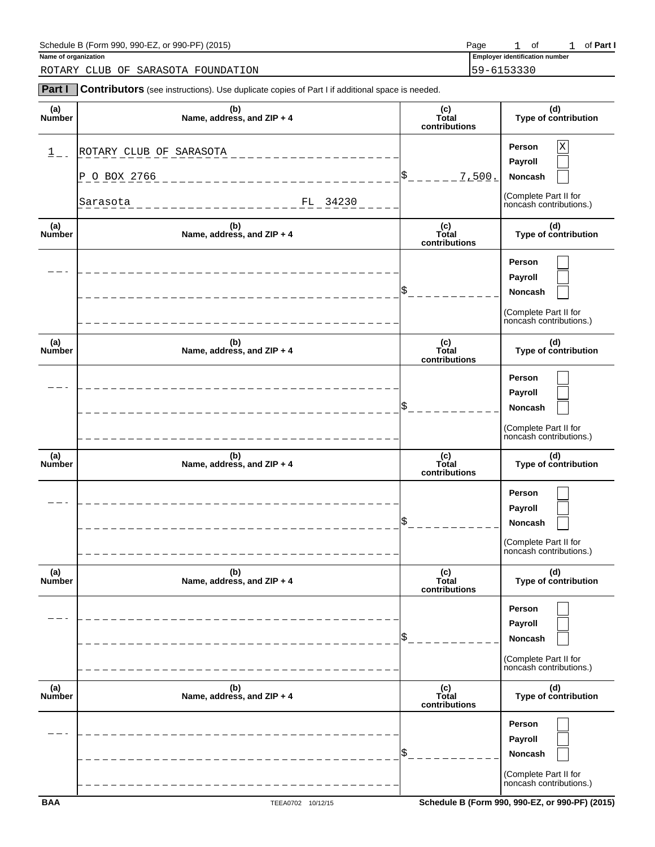| Schedule B (Form 990, 990-EZ, or 990-PF) (2015) | Page       |  | 0t                             | of Part I |
|-------------------------------------------------|------------|--|--------------------------------|-----------|
| Name of organization                            |            |  | Employer identification number |           |
| ROTARY CLUB OF SARASOTA FOUNDATION              | 59-6153330 |  |                                |           |

| Part I               | Contributors (see instructions). Use duplicate copies of Part I if additional space is needed. |                               |                                                                                                 |
|----------------------|------------------------------------------------------------------------------------------------|-------------------------------|-------------------------------------------------------------------------------------------------|
| (a)<br>Number        | (b)<br>Name, address, and ZIP + 4                                                              | (c)<br>Total<br>contributions | (d)<br>Type of contribution                                                                     |
| $\frac{1}{2}$ -      | ROTARY CLUB OF SARASOTA<br>P O BOX 2766<br>FL 34230<br>Sarasota                                | \$<br>7,500.                  | $\mathbf X$<br>Person<br>Payroll<br>Noncash<br>(Complete Part II for<br>noncash contributions.) |
| (a)<br>Number        | (b)<br>Name, address, and ZIP + 4                                                              | (c)<br>Total<br>contributions | (d)<br>Type of contribution                                                                     |
|                      |                                                                                                | \$                            | Person<br>Payroll<br>Noncash<br>(Complete Part II for<br>noncash contributions.)                |
| (a)<br><b>Number</b> | (b)<br>Name, address, and ZIP + 4                                                              | (c)<br>Total<br>contributions | (d)<br>Type of contribution                                                                     |
|                      |                                                                                                |                               | Person<br>Payroll<br>Noncash<br>(Complete Part II for<br>noncash contributions.)                |
| (a)<br>Number        | (b)<br>Name, address, and ZIP + 4                                                              | (c)<br>Total<br>contributions | (d)<br>Type of contribution                                                                     |
|                      |                                                                                                |                               | Person<br>Payroll<br>Noncash<br>(Complete Part II for<br>noncash contributions.)                |
| (a)<br>Number        | (b)<br>Name, address, and ZIP + 4                                                              | (c)<br>Total<br>contributions | (d)<br>Type of contribution                                                                     |
|                      |                                                                                                |                               | Person<br>Payroll<br><b>Noncash</b><br>(Complete Part II for<br>noncash contributions.)         |
| (a)<br>Number        | (b)<br>Name, address, and ZIP + 4                                                              | (c)<br>Total<br>contributions | (d)<br>Type of contribution                                                                     |
|                      |                                                                                                |                               | Person<br>Payroll<br><b>Noncash</b><br>(Complete Part II for<br>noncash contributions.)         |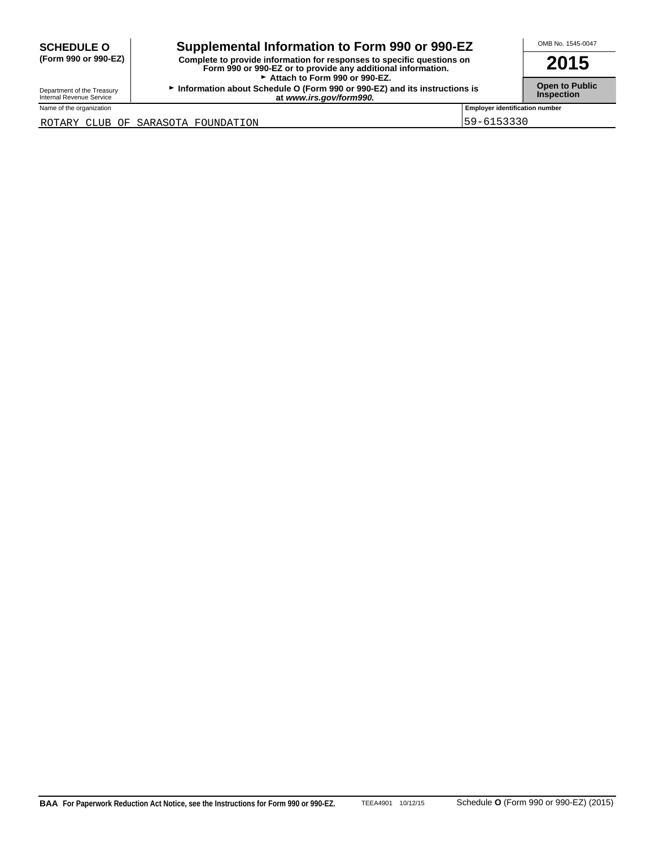### SCHEDULE O **combination to Form 990 or 990-EZ COMB No. 1545-0047**

**(Form 990 or 990-EZ) Complete to provide information for responses to specific questions on Form 990 or 990-EZ or to provide any additional information. 2015** Attach to Form 990 or 990-EZ.

**Department of the Treasury <b>Information about Schedule O** (Form 990 or 990-EZ) and its instructions is **Open to Public**<br>Internal Revenue Service **Inspection at** *www.irs.gov/form990.* **at 1.6 and its instructions is** 

Name of the organization **Employer identification number Employer identification number** 

ROTARY CLUB OF SARASOTA FOUNDATION 59-6153330

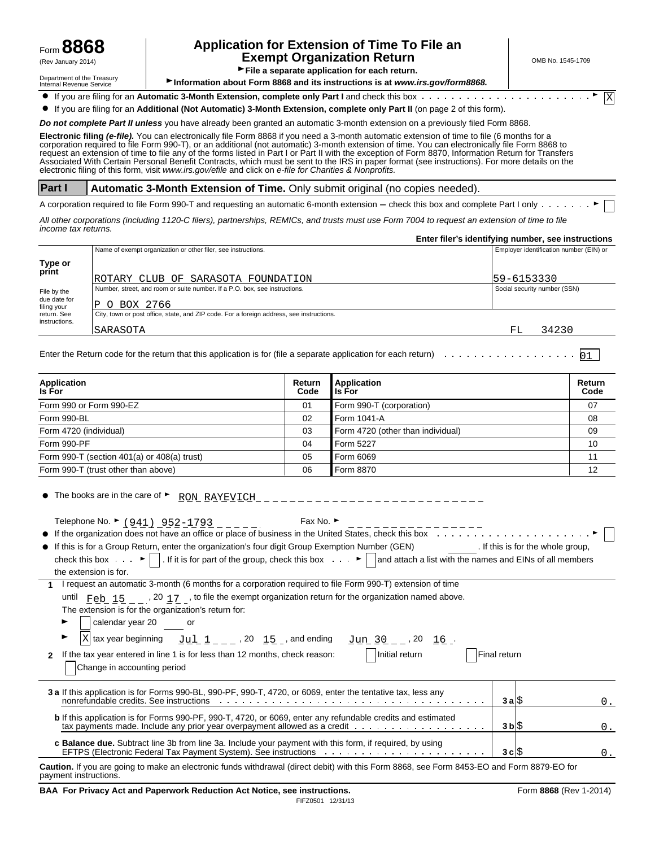

## Form **8868 Application for Extension of Time To File an Revignment Organization Return Exempt Organization Return**  $\parallel$  <sub>OMB No. 1545-1709</sub>

X

File a separate application for each return.

Department of the Treasury<br>Internal Revenue Service

▶ Information about Form 8868 and its instructions is at *www.irs.gov/form8868.* 

? If you are filing for an **Automatic 3-Month Extension, complete only Part I** and check this box G

? If you are filing for an **Additional (Not Automatic) 3-Month Extension, complete only Part II** (on page 2 of this form).

*Do not complete Part II unless* you have already been granted an automatic 3-month extension on a previously filed Form 8868.

**Electronic filing** *(e-file).* You can electronically file Form 8868 if you need a 3-month automatic extension of time to file (6 months for a corporation required to file Form 990-T), or an additional (not automatic) 3-month extension of time. You can electronically file Form 8868 to request an extension of time to file any of the forms listed in Part I or Part II with the exception of Form 8870, Information Return for Transfers Associated With Certain Personal Benefit Contracts, which must be sent to the IRS in paper format (see instructions). For more details on the electronic filing of this form, visit *www.irs.gov/efile* and click on *e-file for Charities & Nonprofits.*

**Part I Automatic 3-Month Extension of Time.** Only submit original (no copies needed).

A corporation required to file Form 990-T and requesting an automatic 6-month extension - check this box and complete Part I only  $\dots$ 

*All other corporations (including 1120-C filers), partnerships, REMICs, and trusts must use Form 7004 to request an extension of time to file income tax returns.* **Enter filer's identifying number, see instructions**

|                  |                                                                                          | Liner file 3 Refinitiving humber, 300 msh uchons |
|------------------|------------------------------------------------------------------------------------------|--------------------------------------------------|
|                  | Name of exempt organization or other filer, see instructions.                            | Employer identification number (EIN) or          |
| Type or<br>print |                                                                                          |                                                  |
|                  |                                                                                          |                                                  |
|                  | ROTARY CLUB OF SARASOTA FOUNDATION                                                       | 59-6153330                                       |
| File by the      | Number, street, and room or suite number. If a P.O. box, see instructions.               | Social security number (SSN)                     |
| due date for     |                                                                                          |                                                  |
| filing your      | O BOX 2766<br>P.                                                                         |                                                  |
| return. See      | City, town or post office, state, and ZIP code. For a foreign address, see instructions. |                                                  |
| instructions.    |                                                                                          |                                                  |
|                  | SARASOTA                                                                                 | 34230<br>FL                                      |
|                  |                                                                                          |                                                  |

Enter the Return code for the return that this application is for (file a separate application for each return) 01

| Application<br><b>Is For</b>                    | Return<br>Code | <b>Application</b><br>lls For     | Return<br>Code |
|-------------------------------------------------|----------------|-----------------------------------|----------------|
| Form 990 or Form 990-EZ                         | 01             | Form 990-T (corporation)          | 07             |
| Form 990-BL                                     | 02             | Form 1041-A                       | 08             |
| Form 4720 (individual)                          | 03             | Form 4720 (other than individual) | 09             |
| Form 990-PF                                     | 04             | Form 5227                         | 10             |
| Form 990-T (section $401(a)$ or $408(a)$ trust) | 05             | Form 6069                         | 11             |
| Form 990-T (trust other than above)             | 06             | Form 8870                         | 12             |

| • The books are in the care of > RON_RAYEVICH                                                                                                                                                                                                                                                                                                                                                                     |                     |    |
|-------------------------------------------------------------------------------------------------------------------------------------------------------------------------------------------------------------------------------------------------------------------------------------------------------------------------------------------------------------------------------------------------------------------|---------------------|----|
| Telephone No. ▶ (941) 952-1793 _ _ _ _ _ _ Fax No. ▶ _ _ _ _ _ _ _ _ _ _ _ _ _ _<br>If the organization does not have an office or place of business in the United States, check this box                                                                                                                                                                                                                         |                     |    |
| • If this is for a Group Return, enter the organization's four digit Group Exemption Number (GEN) [If this is for the whole group,<br>check this box $\cdots$ $\blacktriangleright$ $\Box$ . If it is for part of the group, check this box $\cdots$ $\blacktriangleright$ and attach a list with the names and EINs of all members<br>the extension is for.                                                      |                     |    |
| I request an automatic 3-month (6 months for a corporation required to file Form 990-T) extension of time<br>1<br>until $\text{Feb } 15$ , 20 17, to file the exempt organization return for the organization named above.<br>The extension is for the organization's return for:<br>Initial return<br>If the tax year entered in line 1 is for less than 12 months, check reason:<br>Change in accounting period | <b>Final return</b> |    |
| 3 a If this application is for Forms 990-BL, 990-PF, 990-T, 4720, or 6069, enter the tentative tax, less any<br>nonrefundable credits. See instructions enter the context of the context of the instance of the context of the context of the context of the context of the context of the context of the context of the context of the contex                                                                    | 3aS                 | 0. |
| <b>b</b> If this application is for Forms 990-PF, 990-T, 4720, or 6069, enter any refundable credits and estimated<br>tax payments made. Include any prior year overpayment allowed as a credit $\cdots$                                                                                                                                                                                                          | 3 b                 | 0. |
| c Balance due. Subtract line 3b from line 3a. Include your payment with this form, if required, by using                                                                                                                                                                                                                                                                                                          | 3cS                 | 0. |
| Caution. If you are going to make an electronic funds withdrawal (direct debit) with this Form 8868, see Form 8453-EO and Form 8879-EO for<br>payment instructions.                                                                                                                                                                                                                                               |                     |    |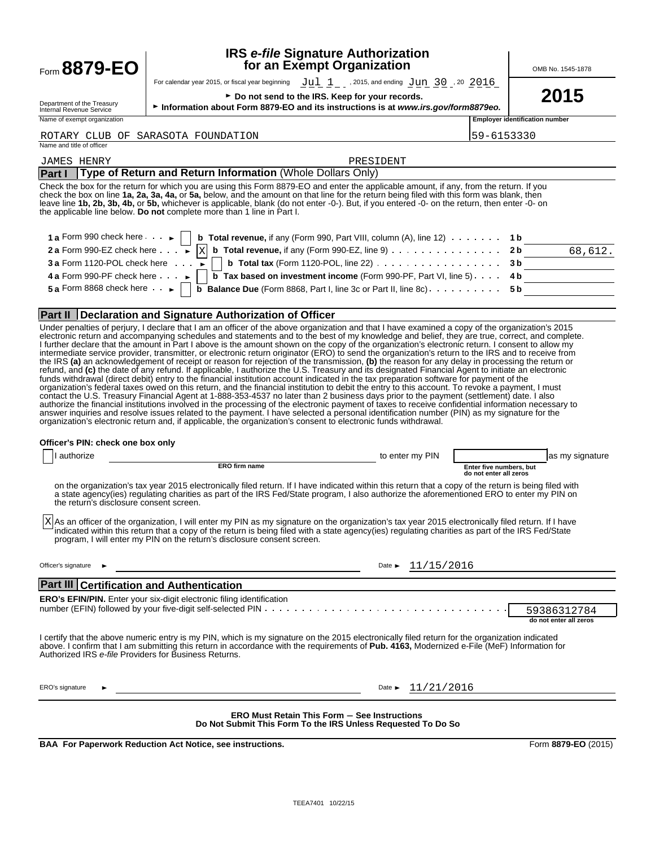| $-$ 68 $\prime$ $-$ |  |  |
|---------------------|--|--|

# **IRS** *e-file* **Signature Authorization form 8879-EO** Property of an Exempt Organization Combined the MB No. 1545-1878

For calendar year 2015, or fiscal year beginning  $\,$  ,  $\rm{Ju1}$  ,  $\,1$  ,  $\,$  , 2015, and ending  $\,$   $\rm{Jun}$  ,  $\rm{30}$  ,  $\rm{,}$  20  $\,$   $\rm{2016}$ 

Department of the Treasury<br>Internal Revenue Service

<sup>G</sup>**Do not send to the IRS. Keep for your records. 2015** <sup>G</sup> **Information about Form 8879-EO and its instructions is at** *www.irs.gov/form8879eo.* Internal Revenue Service Name of exempt organization **Employer identification number Employer identification number** 

#### Name and title of officer ROTARY CLUB OF SARASOTA FOUNDATION 59-6153330

| JAMES HENRY         | PRESIDENT                                                                                                                                                                                                                                                                                                                                                                                                                                                                                                                                                                                                                                                                                                                                                                                                                                                                                                                                                                                                                                                                                                                                                                                                                                                                                                                                                         |                           |
|---------------------|-------------------------------------------------------------------------------------------------------------------------------------------------------------------------------------------------------------------------------------------------------------------------------------------------------------------------------------------------------------------------------------------------------------------------------------------------------------------------------------------------------------------------------------------------------------------------------------------------------------------------------------------------------------------------------------------------------------------------------------------------------------------------------------------------------------------------------------------------------------------------------------------------------------------------------------------------------------------------------------------------------------------------------------------------------------------------------------------------------------------------------------------------------------------------------------------------------------------------------------------------------------------------------------------------------------------------------------------------------------------|---------------------------|
| Part I              | Type of Return and Return Information (Whole Dollars Only)                                                                                                                                                                                                                                                                                                                                                                                                                                                                                                                                                                                                                                                                                                                                                                                                                                                                                                                                                                                                                                                                                                                                                                                                                                                                                                        |                           |
|                     | Check the box for the return for which you are using this Form 8879-EO and enter the applicable amount, if any, from the return. If you<br>check the box on line 1a, 2a, 3a, 4a, or 5a, below, and the amount on that line for the return being filed with this form was blank, then<br>leave line 1b, 2b, 3b, 4b, or 5b, whichever is applicable, blank (do not enter -0-). But, if you entered -0- on the return, then enter -0- on<br>the applicable line below. Do not complete more than 1 line in Part I.                                                                                                                                                                                                                                                                                                                                                                                                                                                                                                                                                                                                                                                                                                                                                                                                                                                   |                           |
|                     | 1 a Form 990 check here $\cdots$ $\blacksquare$<br><b>b</b> Total revenue, if any (Form 990, Part VIII, column $(A)$ , line 12) $\ldots \ldots$                                                                                                                                                                                                                                                                                                                                                                                                                                                                                                                                                                                                                                                                                                                                                                                                                                                                                                                                                                                                                                                                                                                                                                                                                   | 1 b                       |
|                     | 2 a Form 990-EZ check here $\ldots$ $\overline{\phantom{1}}$ $\overline{\phantom{1}}$ $\overline{\phantom{1}}$<br><b>b</b> Total revenue, if any (Form 990-EZ, line 9) $\ldots \ldots \ldots \ldots \ldots$                                                                                                                                                                                                                                                                                                                                                                                                                                                                                                                                                                                                                                                                                                                                                                                                                                                                                                                                                                                                                                                                                                                                                       | 68,612.<br>2 <sub>b</sub> |
|                     | <b>b</b> Total tax (Form 1120-POL, line 22) $\ldots$<br>3 a Form 1120-POL check here $\cdots$                                                                                                                                                                                                                                                                                                                                                                                                                                                                                                                                                                                                                                                                                                                                                                                                                                                                                                                                                                                                                                                                                                                                                                                                                                                                     | 3 <sub>b</sub>            |
|                     | 4 a Form 990-PF check here $\cdots$<br><b>b</b> Tax based on investment income (Form 990-PF, Part VI, line 5)                                                                                                                                                                                                                                                                                                                                                                                                                                                                                                                                                                                                                                                                                                                                                                                                                                                                                                                                                                                                                                                                                                                                                                                                                                                     | 4 b                       |
|                     | 5 a Form 8868 check here $\cdots$    <br><b>b</b> Balance Due (Form 8868, Part I, line 3c or Part II, line 8c) $\ldots$                                                                                                                                                                                                                                                                                                                                                                                                                                                                                                                                                                                                                                                                                                                                                                                                                                                                                                                                                                                                                                                                                                                                                                                                                                           | - 5 b                     |
|                     | Part II Declaration and Signature Authorization of Officer<br>Under penalties of perjury, I declare that I am an officer of the above organization and that I have examined a copy of the organization's 2015                                                                                                                                                                                                                                                                                                                                                                                                                                                                                                                                                                                                                                                                                                                                                                                                                                                                                                                                                                                                                                                                                                                                                     |                           |
|                     | intermediate service provider, transmitter, or electronic return originator (ERO) to send the organization's return to the IRS and to receive from<br>the IRS (a) an acknowledgement of receipt or reason for rejection of the transmission, (b) the reason for any delay in processing the return or<br>refund, and (c) the date of any refund. If applicable, I authorize the U.S. Treasury and its designated Financial Agent to initiate an electronic<br>funds withdrawal (direct debit) entry to the financial institution account indicated in the tax preparation software for payment of the<br>organization's federal taxes owed on this return, and the financial institution to debit the entry to this account. To revoke a payment, I must<br>contact the U.S. Treasury Financial Agent at 1-888-353-4537 no later than 2 business days prior to the payment (settlement) date. I also<br>authorize the financial institutions involved in the processing of the electronic payment of taxes to receive confidential information necessary to<br>answer inquiries and resolve issues related to the payment. I have selected a personal identification number (PIN) as my signature for the<br>organization's electronic return and, if applicable, the organization's consent to electronic funds withdrawal.<br>Officer's PIN: check one box only |                           |
| I authorize         | to enter my PIN                                                                                                                                                                                                                                                                                                                                                                                                                                                                                                                                                                                                                                                                                                                                                                                                                                                                                                                                                                                                                                                                                                                                                                                                                                                                                                                                                   | as my signature           |
|                     | ERO firm name<br>Enter five numbers, but<br>do not enter all zeros                                                                                                                                                                                                                                                                                                                                                                                                                                                                                                                                                                                                                                                                                                                                                                                                                                                                                                                                                                                                                                                                                                                                                                                                                                                                                                |                           |
|                     | on the organization's tax year 2015 electronically filed return. If I have indicated within this return that a copy of the return is being filed with<br>a state agency(ies) regulating charities as part of the IRS Fed/State program, I also authorize the aforementioned ERO to enter my PIN on<br>the return's disclosure consent screen.                                                                                                                                                                                                                                                                                                                                                                                                                                                                                                                                                                                                                                                                                                                                                                                                                                                                                                                                                                                                                     |                           |
|                     | As an officer of the organization, I will enter my PIN as my signature on the organization's tax year 2015 electronically filed return. If I have<br>indicated within this return that a copy of the return is being filed with a state agency(ies) regulating charities as part of the IRS Fed/State<br>program, I will enter my PIN on the return's disclosure consent screen.                                                                                                                                                                                                                                                                                                                                                                                                                                                                                                                                                                                                                                                                                                                                                                                                                                                                                                                                                                                  |                           |
| Officer's signature | Date $\blacktriangleright$<br>11/15/2016                                                                                                                                                                                                                                                                                                                                                                                                                                                                                                                                                                                                                                                                                                                                                                                                                                                                                                                                                                                                                                                                                                                                                                                                                                                                                                                          |                           |
|                     | Part III Certification and Authentication                                                                                                                                                                                                                                                                                                                                                                                                                                                                                                                                                                                                                                                                                                                                                                                                                                                                                                                                                                                                                                                                                                                                                                                                                                                                                                                         |                           |
|                     | <b>ERO's EFIN/PIN.</b> Enter your six-digit electronic filing identification                                                                                                                                                                                                                                                                                                                                                                                                                                                                                                                                                                                                                                                                                                                                                                                                                                                                                                                                                                                                                                                                                                                                                                                                                                                                                      |                           |
|                     |                                                                                                                                                                                                                                                                                                                                                                                                                                                                                                                                                                                                                                                                                                                                                                                                                                                                                                                                                                                                                                                                                                                                                                                                                                                                                                                                                                   | 59386312784               |
|                     | l certify that the above numeric entry is my PIN, which is my signature on the 2015 electronically filed return for the organization indicated<br>above. I confirm that I am submitting this return in accordance with the requirements of Pub. 4163, Modernized e-File (MeF) Information for<br>Authorized IRS e-file Providers for Business Returns.                                                                                                                                                                                                                                                                                                                                                                                                                                                                                                                                                                                                                                                                                                                                                                                                                                                                                                                                                                                                            | do not enter all zeros    |
| ERO's signature     | 11/21/2016<br>Date $\blacktriangleright$                                                                                                                                                                                                                                                                                                                                                                                                                                                                                                                                                                                                                                                                                                                                                                                                                                                                                                                                                                                                                                                                                                                                                                                                                                                                                                                          |                           |

**ERO Must Retain This Form** ' **See Instructions Do Not Submit This Form To the IRS Unless Requested To Do So**

**BAA For Paperwork Reduction Act Notice, see instructions.** Form **8879-EO** (2015)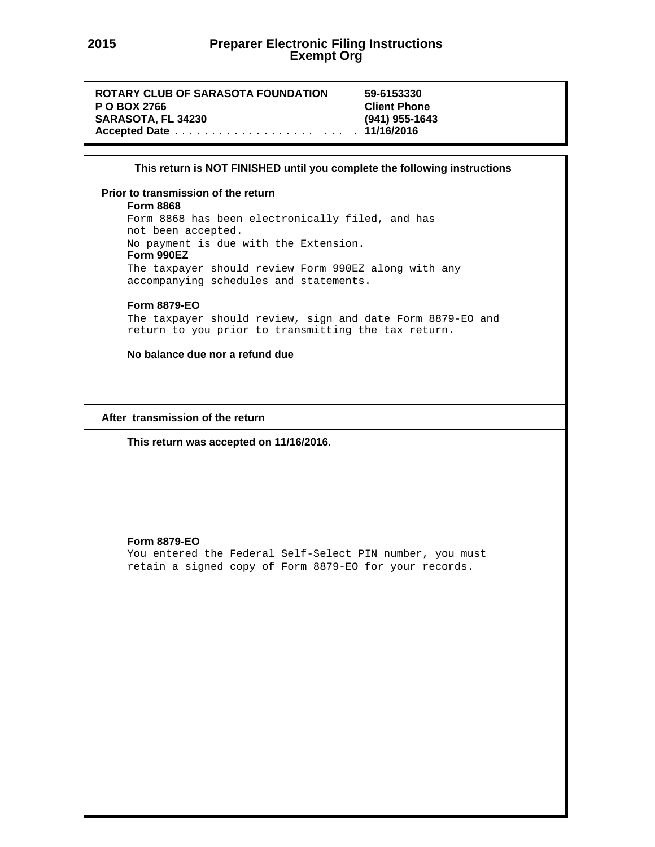**Accepted Date 11/16/2016 ROTARY CLUB OF SARASOTA FOUNDATION 59-6153330 P O BOX 2766 Client Phone SARASOTA, FL 34230 (941) 955-1643**

| This return is NOT FINISHED until you complete the following instructions                                                                 |
|-------------------------------------------------------------------------------------------------------------------------------------------|
| Prior to transmission of the return<br><b>Form 8868</b><br>Form 8868 has been electronically filed, and has                               |
| not been accepted.<br>No payment is due with the Extension.                                                                               |
| Form 990EZ                                                                                                                                |
| The taxpayer should review Form 990EZ along with any<br>accompanying schedules and statements.                                            |
| <b>Form 8879-EO</b><br>The taxpayer should review, sign and date Form 8879-EO and<br>return to you prior to transmitting the tax return.  |
| No balance due nor a refund due                                                                                                           |
|                                                                                                                                           |
| After transmission of the return                                                                                                          |
| This return was accepted on 11/16/2016.                                                                                                   |
| <b>Form 8879-EO</b><br>You entered the Federal Self-Select PIN number, you must<br>retain a signed copy of Form 8879-EO for your records. |
|                                                                                                                                           |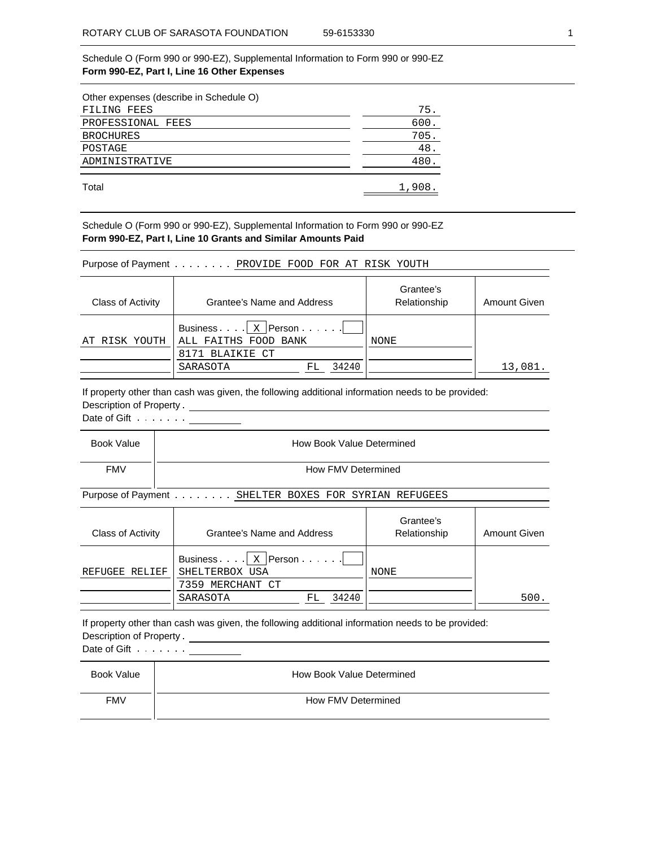#### Schedule O (Form 990 or 990-EZ), Supplemental Information to Form 990 or 990-EZ **Form 990-EZ, Part I, Line 16 Other Expenses**

| Other expenses (describe in Schedule O) |       |
|-----------------------------------------|-------|
| FILING FEES                             | 75.   |
| PROFESSIONAL FEES                       | 600.  |
| <b>BROCHURES</b>                        | 705.  |
| POSTAGE                                 | 48.   |
| ADMINISTRATIVE                          | 480   |
| Total                                   | 1,908 |

Schedule O (Form 990 or 990-EZ), Supplemental Information to Form 990 or 990-EZ **Form 990-EZ, Part I, Line 10 Grants and Similar Amounts Paid**

| Purpose of Payment PROVIDE FOOD FOR AT RISK YOUTH |                                                                              |                           |                     |  |
|---------------------------------------------------|------------------------------------------------------------------------------|---------------------------|---------------------|--|
| Class of Activity                                 | Grantee's Name and Address                                                   | Grantee's<br>Relationship | <b>Amount Given</b> |  |
| AT RISK YOUTH                                     | Business $\ldots$   $X$   Person $\ldots$ $\ldots$  <br>ALL FAITHS FOOD BANK | NONE                      |                     |  |
|                                                   | 8171 BLAIKIE CT<br>34240<br>SARASOTA<br>FL                                   |                           | 13,081.             |  |

If property other than cash was given, the following additional information needs to be provided: Description of Property

Date of Gift . . . . . . . <u>\_\_\_\_\_\_\_\_</u>

| Book Value | How Book Value Determined                            |
|------------|------------------------------------------------------|
| <b>FMV</b> | How FMV Determined                                   |
|            | Purpose of Payment SHELTER BOXES FOR SYRIAN REFUGEES |

| Class of Activity<br>Grantee's Name and Address |                                             | Grantee's<br>Relationship | <b>Amount Given</b> |
|-------------------------------------------------|---------------------------------------------|---------------------------|---------------------|
|                                                 | Business $\ldots$   $X$   Person $\ldots$ . |                           |                     |
| REFUGEE RELIEF                                  | SHELTERBOX USA                              | NONE                      |                     |
|                                                 | 7359 MERCHANT CT                            |                           |                     |
|                                                 | 34240<br>SARASOTA<br>F٦                     |                           | 500.                |
|                                                 |                                             |                           |                     |

If property other than cash was given, the following additional information needs to be provided: Description of Property

Date of Gift . . . . . . . <u>\_\_\_\_\_\_\_\_</u>

| Book Value | How Book Value Determined |
|------------|---------------------------|
| <b>FMV</b> | How FMV Determined        |